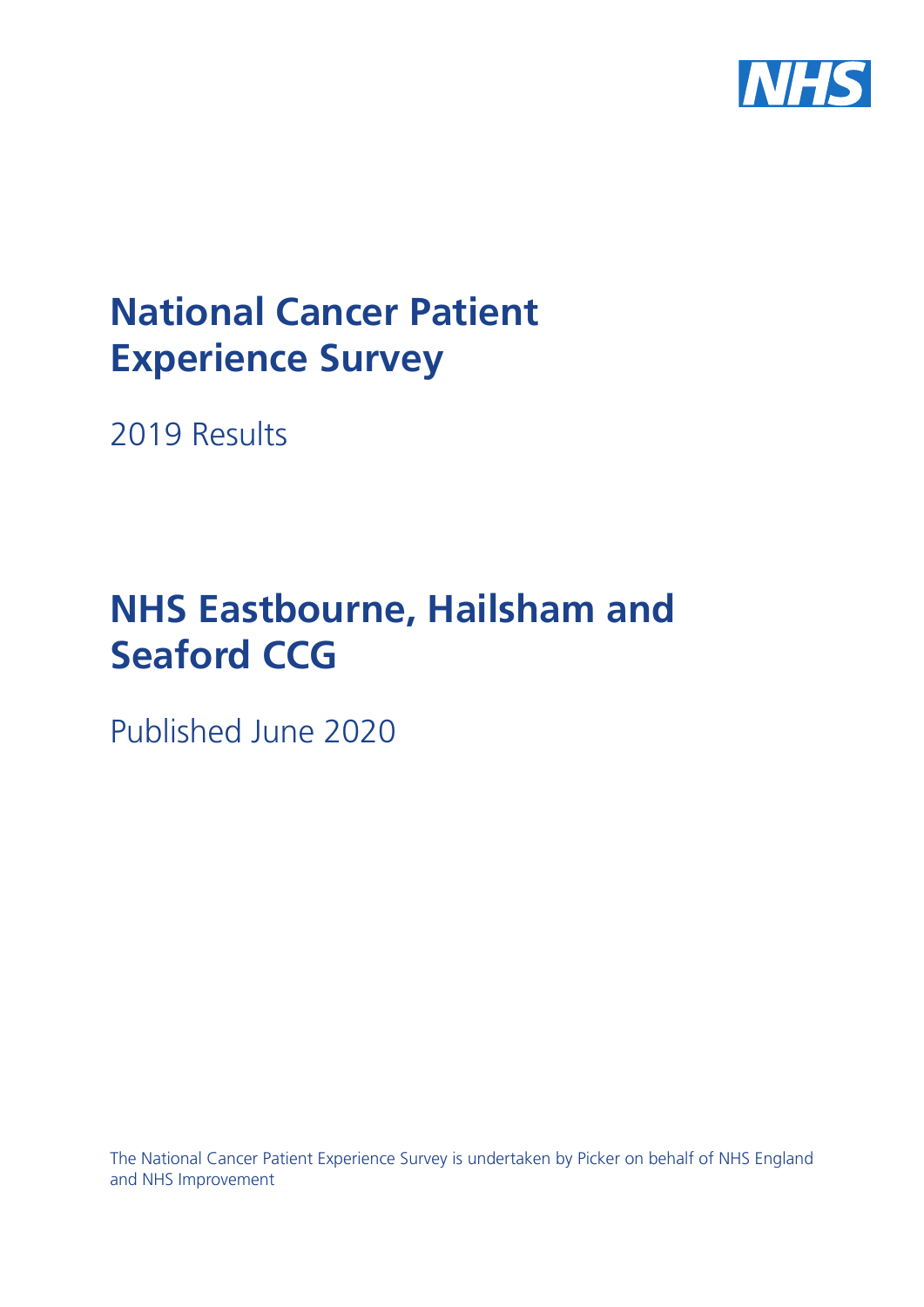

# **National Cancer Patient Experience Survey**

2019 Results

# **NHS Eastbourne, Hailsham and Seaford CCG**

Published June 2020

The National Cancer Patient Experience Survey is undertaken by Picker on behalf of NHS England and NHS Improvement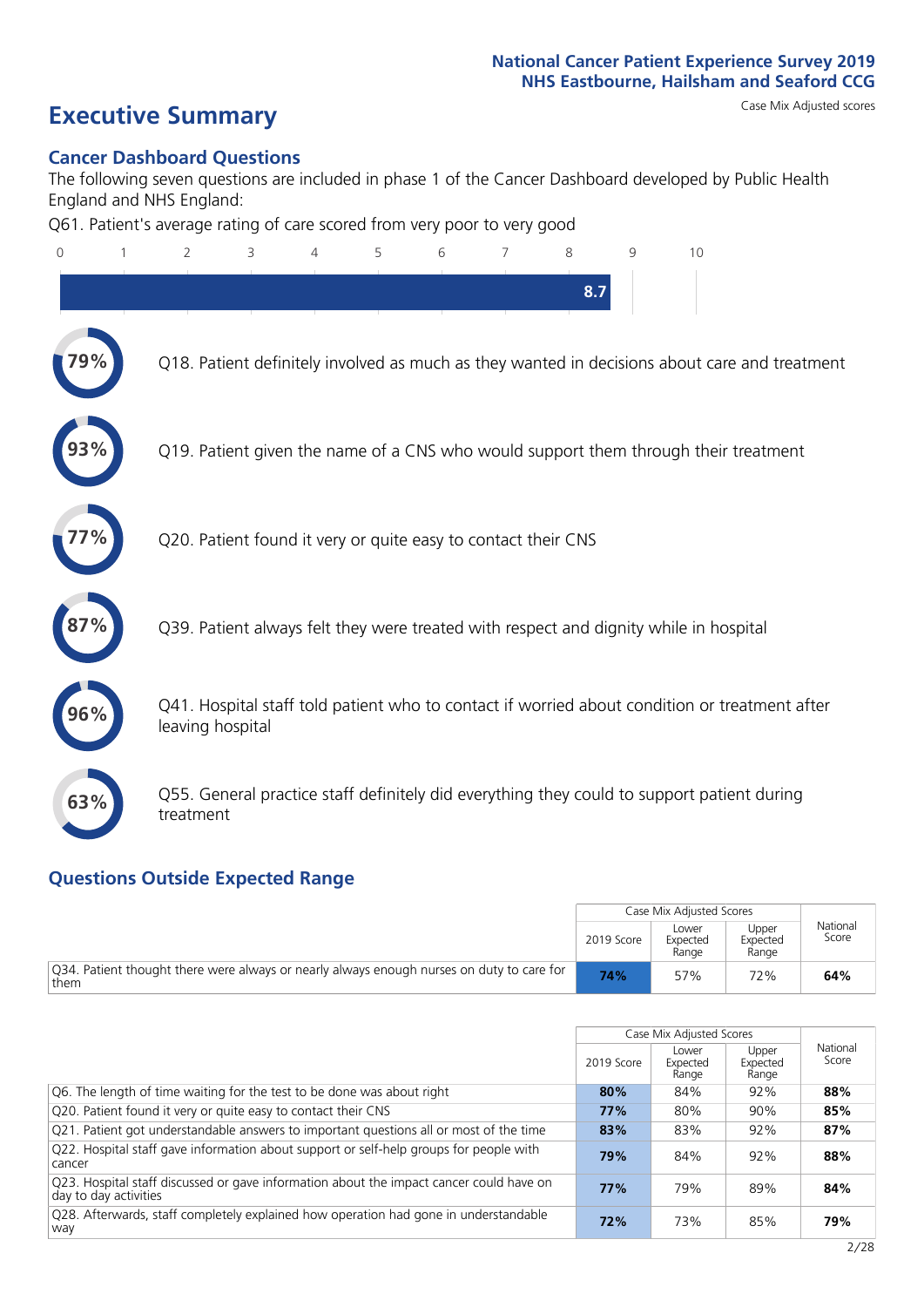# **Executive Summary** Case Mix Adjusted scores

### **Cancer Dashboard Questions**

The following seven questions are included in phase 1 of the Cancer Dashboard developed by Public Health England and NHS England:

Q61. Patient's average rating of care scored from very poor to very good

| $\overline{0}$ | $\overline{2}$                                                | 3 | 4 | 5 | 6 | 7 | 8   | 9 | 10                                                                                            |
|----------------|---------------------------------------------------------------|---|---|---|---|---|-----|---|-----------------------------------------------------------------------------------------------|
|                |                                                               |   |   |   |   |   | 8.7 |   |                                                                                               |
|                |                                                               |   |   |   |   |   |     |   | Q18. Patient definitely involved as much as they wanted in decisions about care and treatment |
|                |                                                               |   |   |   |   |   |     |   | Q19. Patient given the name of a CNS who would support them through their treatment           |
|                | Q20. Patient found it very or quite easy to contact their CNS |   |   |   |   |   |     |   |                                                                                               |
|                |                                                               |   |   |   |   |   |     |   | Q39. Patient always felt they were treated with respect and dignity while in hospital         |
|                | leaving hospital                                              |   |   |   |   |   |     |   | Q41. Hospital staff told patient who to contact if worried about condition or treatment after |
| 63%            | treatment                                                     |   |   |   |   |   |     |   | Q55. General practice staff definitely did everything they could to support patient during    |
|                |                                                               |   |   |   |   |   |     |   |                                                                                               |

### **Questions Outside Expected Range**

|                                                                                                   |            | Case Mix Adiusted Scores   |                            |                   |
|---------------------------------------------------------------------------------------------------|------------|----------------------------|----------------------------|-------------------|
|                                                                                                   | 2019 Score | Lower<br>Expected<br>Range | Upper<br>Expected<br>Range | National<br>Score |
| Q34. Patient thought there were always or nearly always enough nurses on duty to care for<br>them | 74%        | 57%                        | 72%                        | 64%               |

|                                                                                                                  |            | Case Mix Adjusted Scores   |                            |                   |
|------------------------------------------------------------------------------------------------------------------|------------|----------------------------|----------------------------|-------------------|
|                                                                                                                  | 2019 Score | Lower<br>Expected<br>Range | Upper<br>Expected<br>Range | National<br>Score |
| Q6. The length of time waiting for the test to be done was about right                                           | 80%        | 84%                        | 92%                        | 88%               |
| Q20. Patient found it very or quite easy to contact their CNS                                                    | 77%        | 80%                        | 90%                        | 85%               |
| Q21. Patient got understandable answers to important questions all or most of the time                           | 83%        | 83%                        | 92%                        | 87%               |
| Q22. Hospital staff gave information about support or self-help groups for people with<br>cancer                 | 79%        | 84%                        | 92%                        | 88%               |
| Q23. Hospital staff discussed or gave information about the impact cancer could have on<br>day to day activities | 77%        | 79%                        | 89%                        | 84%               |
| Q28. Afterwards, staff completely explained how operation had gone in understandable<br>way                      | 72%        | 73%                        | 85%                        | 79%               |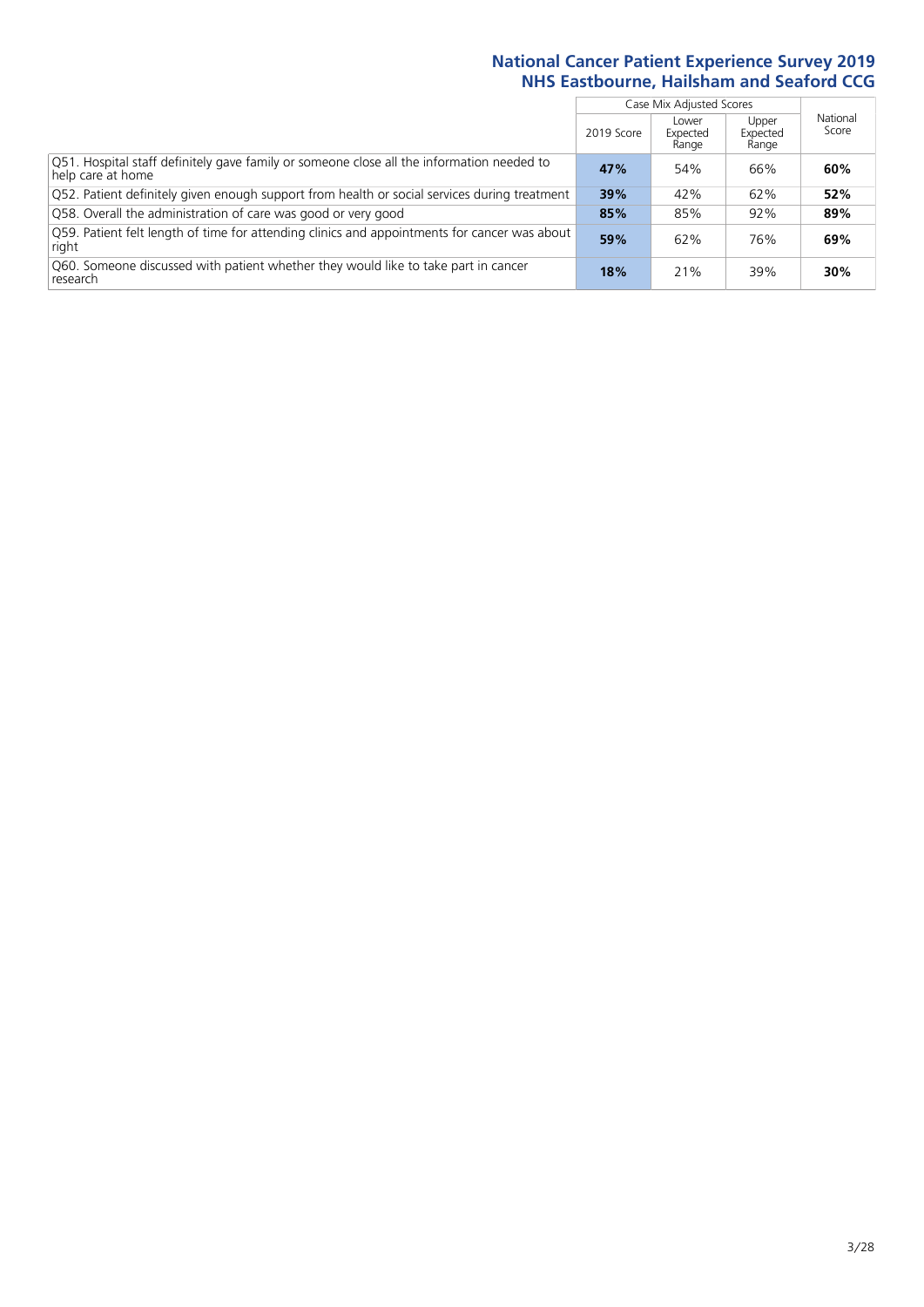|                                                                                                                |            | Case Mix Adjusted Scores   |                            |                   |
|----------------------------------------------------------------------------------------------------------------|------------|----------------------------|----------------------------|-------------------|
|                                                                                                                | 2019 Score | Lower<br>Expected<br>Range | Upper<br>Expected<br>Range | National<br>Score |
| Q51. Hospital staff definitely gave family or someone close all the information needed to<br>help care at home | 47%        | 54%                        | 66%                        | 60%               |
| Q52. Patient definitely given enough support from health or social services during treatment                   | 39%        | 42%                        | 62%                        | 52%               |
| Q58. Overall the administration of care was good or very good                                                  | 85%        | 85%                        | 92%                        | 89%               |
| O59. Patient felt length of time for attending clinics and appointments for cancer was about<br>right          | 59%        | 62%                        | 76%                        | 69%               |
| Q60. Someone discussed with patient whether they would like to take part in cancer<br>research                 | 18%        | 21%                        | 39%                        | 30%               |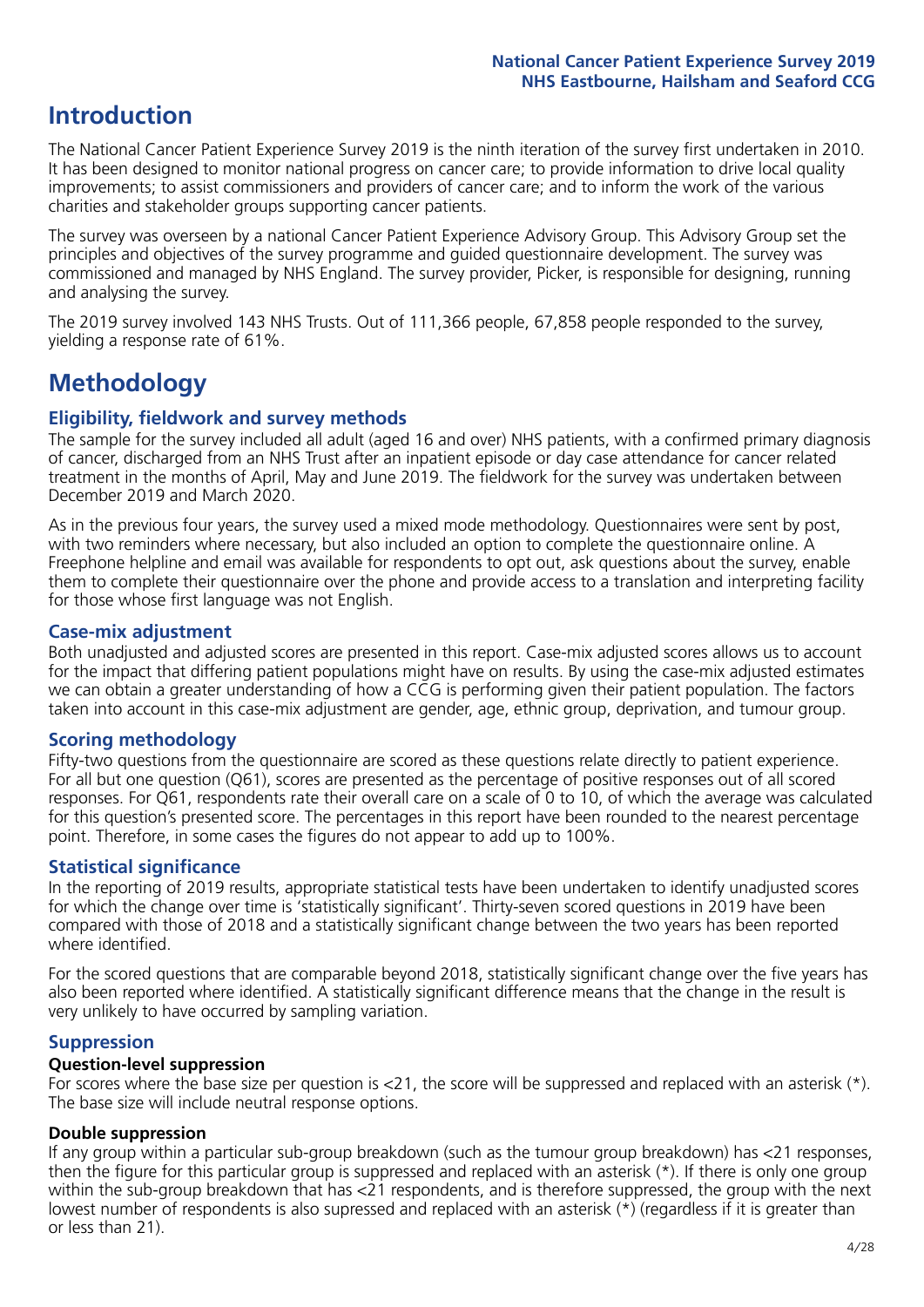## **Introduction**

The National Cancer Patient Experience Survey 2019 is the ninth iteration of the survey first undertaken in 2010. It has been designed to monitor national progress on cancer care; to provide information to drive local quality improvements; to assist commissioners and providers of cancer care; and to inform the work of the various charities and stakeholder groups supporting cancer patients.

The survey was overseen by a national Cancer Patient Experience Advisory Group. This Advisory Group set the principles and objectives of the survey programme and guided questionnaire development. The survey was commissioned and managed by NHS England. The survey provider, Picker, is responsible for designing, running and analysing the survey.

The 2019 survey involved 143 NHS Trusts. Out of 111,366 people, 67,858 people responded to the survey, yielding a response rate of 61%.

# **Methodology**

### **Eligibility, fieldwork and survey methods**

The sample for the survey included all adult (aged 16 and over) NHS patients, with a confirmed primary diagnosis of cancer, discharged from an NHS Trust after an inpatient episode or day case attendance for cancer related treatment in the months of April, May and June 2019. The fieldwork for the survey was undertaken between December 2019 and March 2020.

As in the previous four years, the survey used a mixed mode methodology. Questionnaires were sent by post, with two reminders where necessary, but also included an option to complete the questionnaire online. A Freephone helpline and email was available for respondents to opt out, ask questions about the survey, enable them to complete their questionnaire over the phone and provide access to a translation and interpreting facility for those whose first language was not English.

### **Case-mix adjustment**

Both unadjusted and adjusted scores are presented in this report. Case-mix adjusted scores allows us to account for the impact that differing patient populations might have on results. By using the case-mix adjusted estimates we can obtain a greater understanding of how a CCG is performing given their patient population. The factors taken into account in this case-mix adjustment are gender, age, ethnic group, deprivation, and tumour group.

### **Scoring methodology**

Fifty-two questions from the questionnaire are scored as these questions relate directly to patient experience. For all but one question (Q61), scores are presented as the percentage of positive responses out of all scored responses. For Q61, respondents rate their overall care on a scale of 0 to 10, of which the average was calculated for this question's presented score. The percentages in this report have been rounded to the nearest percentage point. Therefore, in some cases the figures do not appear to add up to 100%.

### **Statistical significance**

In the reporting of 2019 results, appropriate statistical tests have been undertaken to identify unadjusted scores for which the change over time is 'statistically significant'. Thirty-seven scored questions in 2019 have been compared with those of 2018 and a statistically significant change between the two years has been reported where identified.

For the scored questions that are comparable beyond 2018, statistically significant change over the five years has also been reported where identified. A statistically significant difference means that the change in the result is very unlikely to have occurred by sampling variation.

### **Suppression**

### **Question-level suppression**

For scores where the base size per question is  $<$ 21, the score will be suppressed and replaced with an asterisk (\*). The base size will include neutral response options.

### **Double suppression**

If any group within a particular sub-group breakdown (such as the tumour group breakdown) has <21 responses, then the figure for this particular group is suppressed and replaced with an asterisk (\*). If there is only one group within the sub-group breakdown that has <21 respondents, and is therefore suppressed, the group with the next lowest number of respondents is also supressed and replaced with an asterisk (\*) (regardless if it is greater than or less than 21).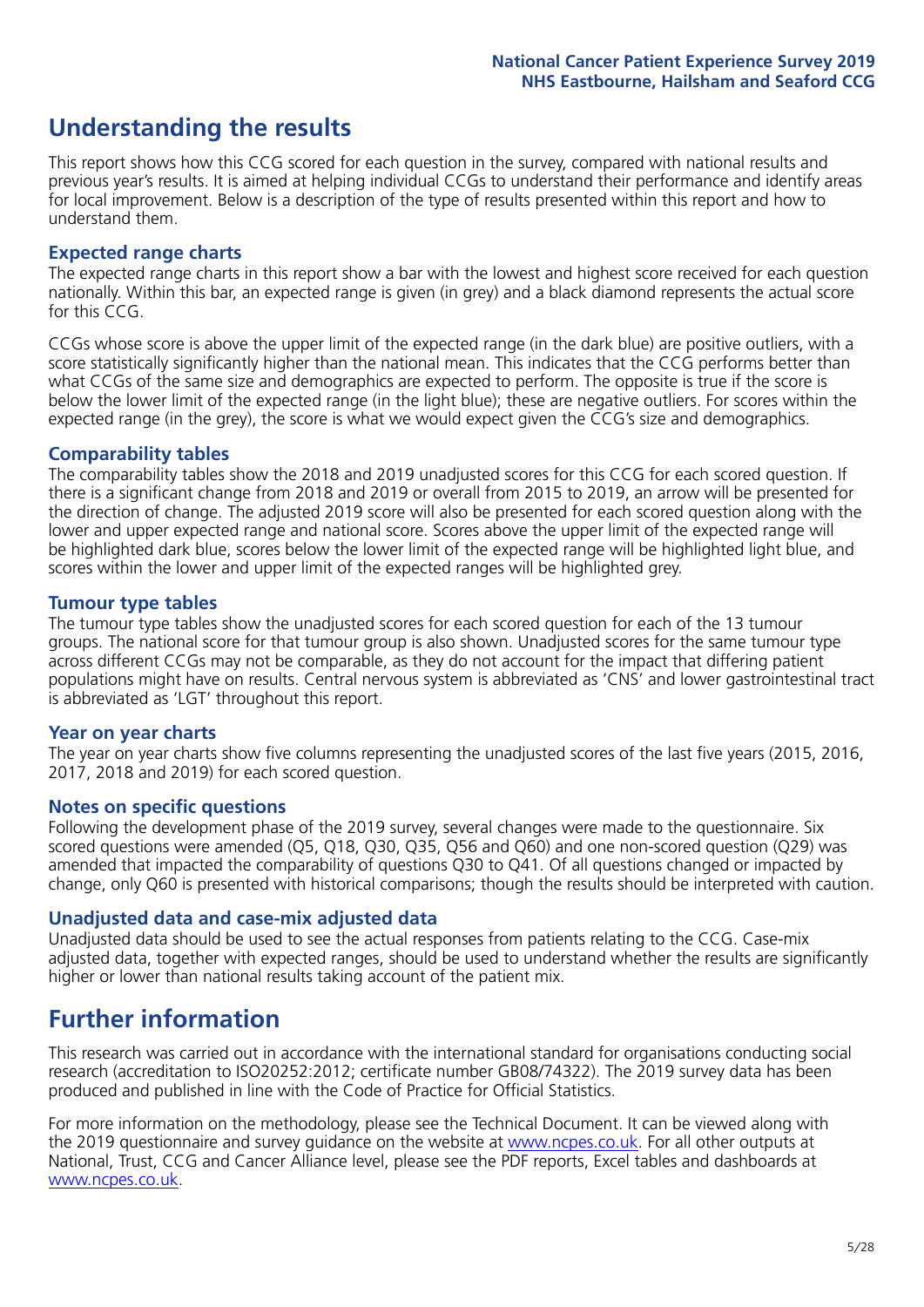## **Understanding the results**

This report shows how this CCG scored for each question in the survey, compared with national results and previous year's results. It is aimed at helping individual CCGs to understand their performance and identify areas for local improvement. Below is a description of the type of results presented within this report and how to understand them.

### **Expected range charts**

The expected range charts in this report show a bar with the lowest and highest score received for each question nationally. Within this bar, an expected range is given (in grey) and a black diamond represents the actual score for this CCG.

CCGs whose score is above the upper limit of the expected range (in the dark blue) are positive outliers, with a score statistically significantly higher than the national mean. This indicates that the CCG performs better than what CCGs of the same size and demographics are expected to perform. The opposite is true if the score is below the lower limit of the expected range (in the light blue); these are negative outliers. For scores within the expected range (in the grey), the score is what we would expect given the CCG's size and demographics.

### **Comparability tables**

The comparability tables show the 2018 and 2019 unadjusted scores for this CCG for each scored question. If there is a significant change from 2018 and 2019 or overall from 2015 to 2019, an arrow will be presented for the direction of change. The adjusted 2019 score will also be presented for each scored question along with the lower and upper expected range and national score. Scores above the upper limit of the expected range will be highlighted dark blue, scores below the lower limit of the expected range will be highlighted light blue, and scores within the lower and upper limit of the expected ranges will be highlighted grey.

### **Tumour type tables**

The tumour type tables show the unadjusted scores for each scored question for each of the 13 tumour groups. The national score for that tumour group is also shown. Unadjusted scores for the same tumour type across different CCGs may not be comparable, as they do not account for the impact that differing patient populations might have on results. Central nervous system is abbreviated as 'CNS' and lower gastrointestinal tract is abbreviated as 'LGT' throughout this report.

### **Year on year charts**

The year on year charts show five columns representing the unadjusted scores of the last five years (2015, 2016, 2017, 2018 and 2019) for each scored question.

### **Notes on specific questions**

Following the development phase of the 2019 survey, several changes were made to the questionnaire. Six scored questions were amended (Q5, Q18, Q30, Q35, Q56 and Q60) and one non-scored question (Q29) was amended that impacted the comparability of questions Q30 to Q41. Of all questions changed or impacted by change, only Q60 is presented with historical comparisons; though the results should be interpreted with caution.

### **Unadjusted data and case-mix adjusted data**

Unadjusted data should be used to see the actual responses from patients relating to the CCG. Case-mix adjusted data, together with expected ranges, should be used to understand whether the results are significantly higher or lower than national results taking account of the patient mix.

### **Further information**

This research was carried out in accordance with the international standard for organisations conducting social research (accreditation to ISO20252:2012; certificate number GB08/74322). The 2019 survey data has been produced and published in line with the Code of Practice for Official Statistics.

For more information on the methodology, please see the Technical Document. It can be viewed along with the 2019 questionnaire and survey quidance on the website at [www.ncpes.co.uk](https://www.ncpes.co.uk/supporting-documents). For all other outputs at National, Trust, CCG and Cancer Alliance level, please see the PDF reports, Excel tables and dashboards at [www.ncpes.co.uk.](https://www.ncpes.co.uk/current-results)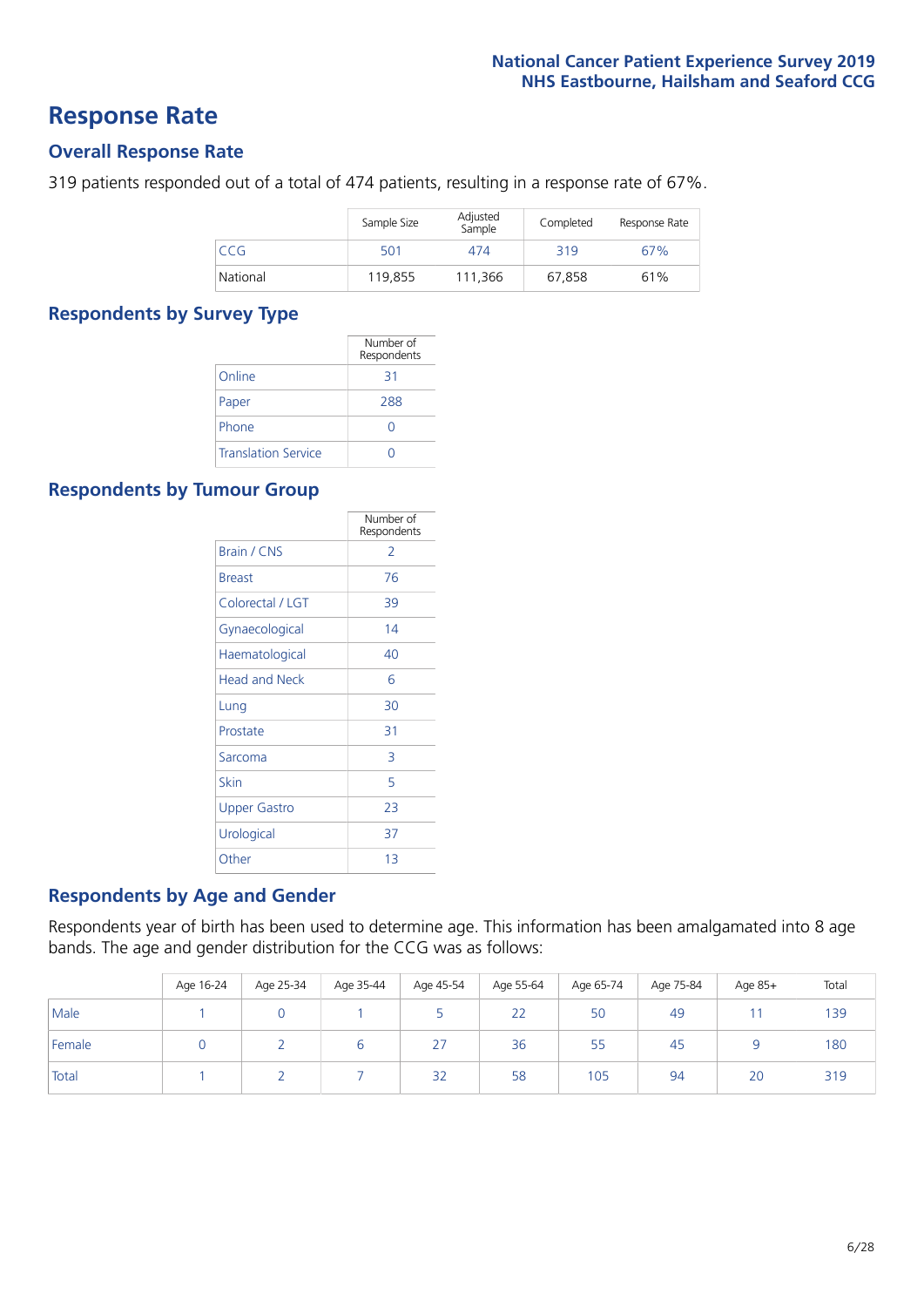### **Response Rate**

### **Overall Response Rate**

319 patients responded out of a total of 474 patients, resulting in a response rate of 67%.

|          | Sample Size | Adjusted<br>Sample | Completed | Response Rate |
|----------|-------------|--------------------|-----------|---------------|
| CCG      | 501         | 474                | 319       | 67%           |
| National | 119,855     | 111.366            | 67.858    | 61%           |

### **Respondents by Survey Type**

|                            | Number of<br>Respondents |
|----------------------------|--------------------------|
| Online                     | 31                       |
| Paper                      | 288                      |
| Phone                      |                          |
| <b>Translation Service</b> |                          |

### **Respondents by Tumour Group**

|                      | Number of<br>Respondents |
|----------------------|--------------------------|
| Brain / CNS          | 2                        |
| <b>Breast</b>        | 76                       |
| Colorectal / LGT     | 39                       |
| Gynaecological       | 14                       |
| Haematological       | 40                       |
| <b>Head and Neck</b> | 6                        |
| Lung                 | 30                       |
| Prostate             | 31                       |
| Sarcoma              | 3                        |
| Skin                 | 5                        |
| <b>Upper Gastro</b>  | 23                       |
| Urological           | 37                       |
| Other                | 13                       |

### **Respondents by Age and Gender**

Respondents year of birth has been used to determine age. This information has been amalgamated into 8 age bands. The age and gender distribution for the CCG was as follows:

|        | Age 16-24 | Age 25-34 | Age 35-44 | Age 45-54 | Age 55-64 | Age 65-74 | Age 75-84 | Age 85+ | Total |
|--------|-----------|-----------|-----------|-----------|-----------|-----------|-----------|---------|-------|
| Male   |           |           |           |           | 22        | 50        | 49        |         | 139   |
| Female |           |           | b         | 27        | 36        | 55        | 45        |         | 180   |
| Total  |           |           |           | 32        | 58        | 105       | 94        | 20      | 319   |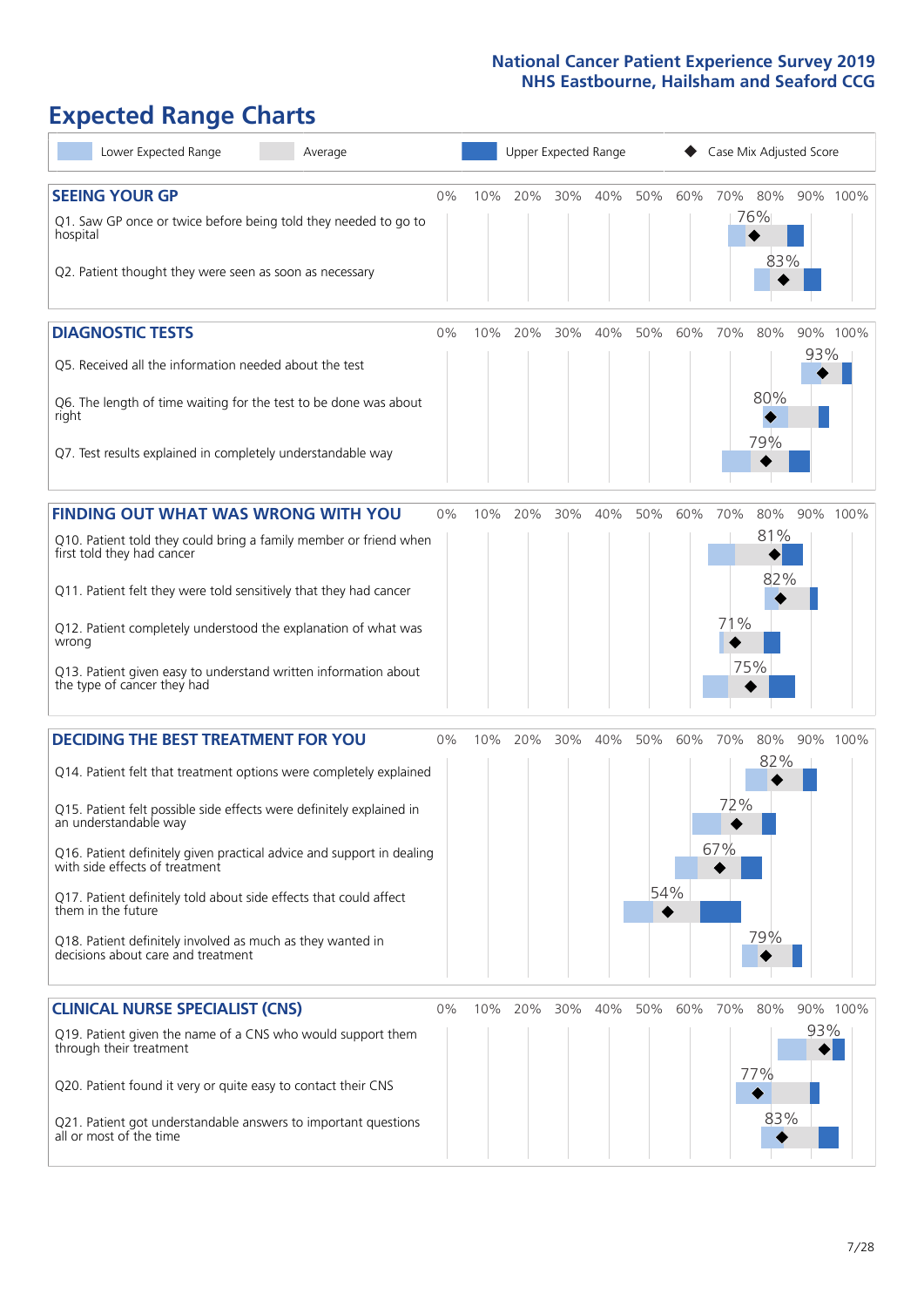# **Expected Range Charts**

| Lower Expected Range                                                                                                                   | Average |       |        | Upper Expected Range |     |     |     |     | Case Mix Adjusted Score |            |     |          |
|----------------------------------------------------------------------------------------------------------------------------------------|---------|-------|--------|----------------------|-----|-----|-----|-----|-------------------------|------------|-----|----------|
| <b>SEEING YOUR GP</b>                                                                                                                  |         | $0\%$ | $10\%$ | 20%                  | 30% | 40% | 50% | 60% |                         | 70% 80%    |     | 90% 100% |
| Q1. Saw GP once or twice before being told they needed to go to<br>hospital<br>Q2. Patient thought they were seen as soon as necessary |         |       |        |                      |     |     |     |     |                         | 76%<br>83% |     |          |
| <b>DIAGNOSTIC TESTS</b>                                                                                                                |         | 0%    | 10%    | 20%                  | 30% | 40% | 50% | 60% | 70%                     | 80%        | 93% | 90% 100% |
| Q5. Received all the information needed about the test                                                                                 |         |       |        |                      |     |     |     |     |                         |            |     |          |
| Q6. The length of time waiting for the test to be done was about<br>right                                                              |         |       |        |                      |     |     |     |     |                         | 80%<br>79% |     |          |
| Q7. Test results explained in completely understandable way                                                                            |         |       |        |                      |     |     |     |     |                         |            |     |          |
| <b>FINDING OUT WHAT WAS WRONG WITH YOU</b>                                                                                             |         | 0%    | 10%    | 20%                  | 30% | 40% | 50% | 60% | 70%                     | 80%        |     | 90% 100% |
| Q10. Patient told they could bring a family member or friend when<br>first told they had cancer                                        |         |       |        |                      |     |     |     |     |                         | 81%        |     |          |
| Q11. Patient felt they were told sensitively that they had cancer                                                                      |         |       |        |                      |     |     |     |     |                         | 82%        |     |          |
| Q12. Patient completely understood the explanation of what was<br>wrong                                                                |         |       |        |                      |     |     |     |     | 71%                     |            |     |          |
| Q13. Patient given easy to understand written information about<br>the type of cancer they had                                         |         |       |        |                      |     |     |     |     |                         | 75%        |     |          |
| <b>DECIDING THE BEST TREATMENT FOR YOU</b>                                                                                             |         | $0\%$ | 10%    | 20%                  | 30% | 40% | 50% | 60% | 70%                     | 80%        |     | 90% 100% |
| Q14. Patient felt that treatment options were completely explained                                                                     |         |       |        |                      |     |     |     |     |                         | 82%        |     |          |
| Q15. Patient felt possible side effects were definitely explained in<br>an understandable way                                          |         |       |        |                      |     |     |     |     | 72%                     |            |     |          |
| Q16. Patient definitely given practical advice and support in dealing<br>with side effects of treatment                                |         |       |        |                      |     |     |     |     | 67%                     |            |     |          |
| Q17. Patient definitely told about side effects that could affect<br>them in the future                                                |         |       |        |                      |     |     | 54% |     |                         |            |     |          |
| Q18. Patient definitely involved as much as they wanted in<br>decisions about care and treatment                                       |         |       |        |                      |     |     |     |     |                         | 79%        |     |          |
| <b>CLINICAL NURSE SPECIALIST (CNS)</b>                                                                                                 |         | 0%    | 10%    | 20%                  | 30% | 40% | 50% | 60% | 70%                     | 80%        |     | 90% 100% |
| Q19. Patient given the name of a CNS who would support them<br>through their treatment                                                 |         |       |        |                      |     |     |     |     |                         |            | 93% |          |
| Q20. Patient found it very or quite easy to contact their CNS                                                                          |         |       |        |                      |     |     |     |     |                         | 77%        |     |          |
| Q21. Patient got understandable answers to important questions<br>all or most of the time                                              |         |       |        |                      |     |     |     |     |                         | 83%        |     |          |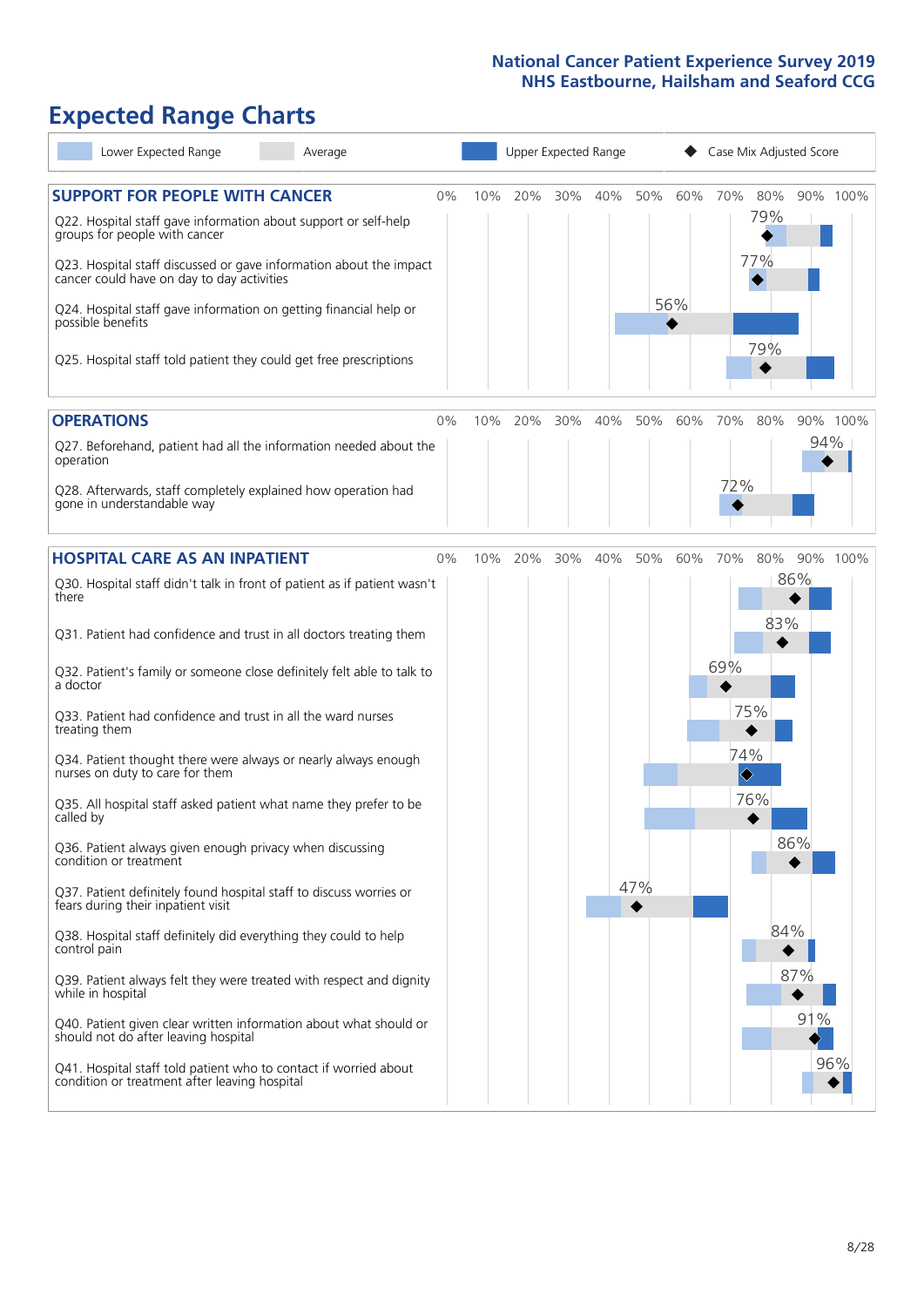# **Expected Range Charts**

| Lower Expected Range<br>Average                                                                                                                                                       |       |     | Upper Expected Range |     |     |     |     | Case Mix Adjusted Score            |            |     |          |
|---------------------------------------------------------------------------------------------------------------------------------------------------------------------------------------|-------|-----|----------------------|-----|-----|-----|-----|------------------------------------|------------|-----|----------|
| <b>SUPPORT FOR PEOPLE WITH CANCER</b><br>Q22. Hospital staff gave information about support or self-help<br>groups for people with cancer                                             | 0%    | 10% | 20%                  | 30% | 40% | 50% | 60% | 70%                                | 80%<br>79% |     | 90% 100% |
| Q23. Hospital staff discussed or gave information about the impact<br>cancer could have on day to day activities<br>Q24. Hospital staff gave information on getting financial help or |       |     |                      |     |     |     | 56% |                                    | 77%        |     |          |
| possible benefits<br>Q25. Hospital staff told patient they could get free prescriptions                                                                                               |       |     |                      |     |     |     |     |                                    | 79%        |     |          |
| <b>OPERATIONS</b>                                                                                                                                                                     | 0%    | 10% | 20%                  | 30% | 40% | 50% | 60% | 70%                                | 80%        |     | 90% 100% |
| Q27. Beforehand, patient had all the information needed about the<br>operation                                                                                                        |       |     |                      |     |     |     |     |                                    |            | 94% |          |
| Q28. Afterwards, staff completely explained how operation had<br>gone in understandable way                                                                                           |       |     |                      |     |     |     |     | 72%                                |            |     |          |
| <b>HOSPITAL CARE AS AN INPATIENT</b>                                                                                                                                                  | $0\%$ | 10% | 20%                  | 30% | 40% | 50% | 60% | 70%                                | 80%        |     | 90% 100% |
| Q30. Hospital staff didn't talk in front of patient as if patient wasn't<br>there                                                                                                     |       |     |                      |     |     |     |     |                                    | 83%        | 86% |          |
| Q31. Patient had confidence and trust in all doctors treating them                                                                                                                    |       |     |                      |     |     |     |     |                                    |            |     |          |
| Q32. Patient's family or someone close definitely felt able to talk to<br>a doctor                                                                                                    |       |     |                      |     |     |     |     | 69%                                |            |     |          |
| Q33. Patient had confidence and trust in all the ward nurses<br>treating them                                                                                                         |       |     |                      |     |     |     |     | 75%                                |            |     |          |
| Q34. Patient thought there were always or nearly always enough<br>nurses on duty to care for them                                                                                     |       |     |                      |     |     |     |     | 74%<br>$\color{blue}\blacklozenge$ |            |     |          |
| Q35. All hospital staff asked patient what name they prefer to be<br>called by                                                                                                        |       |     |                      |     |     |     |     |                                    | 76%        |     |          |
| Q36. Patient always given enough privacy when discussing<br>condition or treatment                                                                                                    |       |     |                      |     |     |     |     |                                    |            | 86% |          |
| Q37. Patient definitely found hospital staff to discuss worries or<br>fears during their inpatient visit                                                                              |       |     |                      |     |     | 47% |     |                                    |            |     |          |
| Q38. Hospital staff definitely did everything they could to help<br>control pain                                                                                                      |       |     |                      |     |     |     |     |                                    | 84%        |     |          |
| Q39. Patient always felt they were treated with respect and dignity<br>while in hospital                                                                                              |       |     |                      |     |     |     |     |                                    |            | 87% |          |
| Q40. Patient given clear written information about what should or<br>should not do after leaving hospital                                                                             |       |     |                      |     |     |     |     |                                    |            | 91% |          |
| Q41. Hospital staff told patient who to contact if worried about<br>condition or treatment after leaving hospital                                                                     |       |     |                      |     |     |     |     |                                    |            |     | 96%      |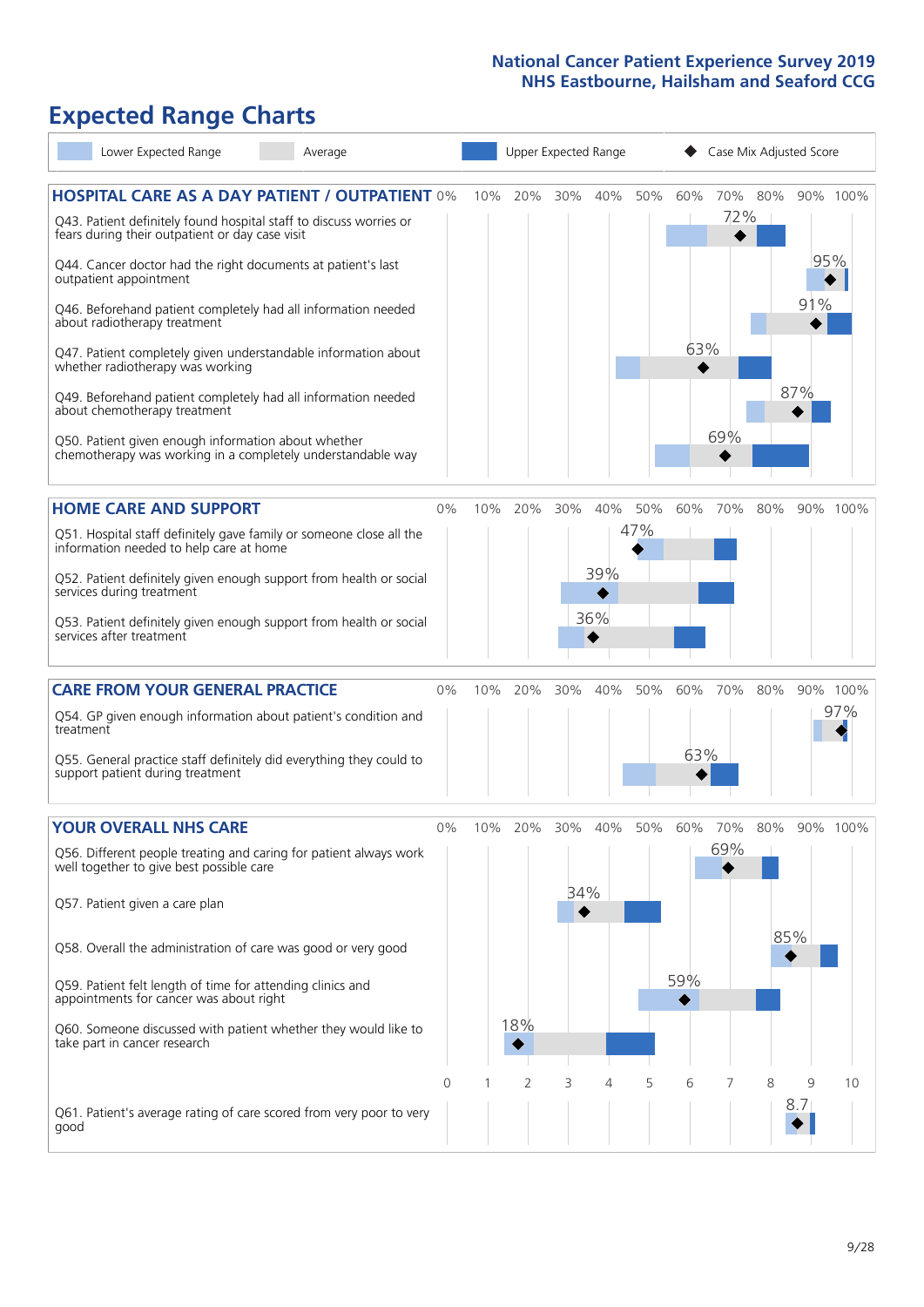# **Expected Range Charts**

| Lower Expected Range<br>Average                                                                                                           |       |     |                |     | Upper Expected Range |     |     | Case Mix Adjusted Score |         |          |          |
|-------------------------------------------------------------------------------------------------------------------------------------------|-------|-----|----------------|-----|----------------------|-----|-----|-------------------------|---------|----------|----------|
| <b>HOSPITAL CARE AS A DAY PATIENT / OUTPATIENT 0%</b><br>Q43. Patient definitely found hospital staff to discuss worries or               |       | 10% | 20%            | 30% | 40%                  | 50% | 60% | 72%                     | 70% 80% |          | 90% 100% |
| fears during their outpatient or day case visit<br>Q44. Cancer doctor had the right documents at patient's last<br>outpatient appointment |       |     |                |     |                      |     |     |                         |         | 95%      |          |
| Q46. Beforehand patient completely had all information needed<br>about radiotherapy treatment                                             |       |     |                |     |                      |     |     |                         |         | 91%      |          |
| Q47. Patient completely given understandable information about<br>whether radiotherapy was working                                        |       |     |                |     |                      |     | 63% |                         |         |          |          |
| Q49. Beforehand patient completely had all information needed<br>about chemotherapy treatment                                             |       |     |                |     |                      |     |     |                         |         | 87%      |          |
| Q50. Patient given enough information about whether<br>chemotherapy was working in a completely understandable way                        |       |     |                |     |                      |     |     | 69%                     |         |          |          |
| <b>HOME CARE AND SUPPORT</b>                                                                                                              | 0%    | 10% | 20%            | 30% | 40%                  | 50% | 60% | 70%                     | 80%     |          | 90% 100% |
| Q51. Hospital staff definitely gave family or someone close all the<br>information needed to help care at home                            |       |     |                |     |                      | 47% |     |                         |         |          |          |
| Q52. Patient definitely given enough support from health or social<br>services during treatment                                           |       |     |                |     | 39%                  |     |     |                         |         |          |          |
| Q53. Patient definitely given enough support from health or social<br>services after treatment                                            |       |     |                |     | 36%                  |     |     |                         |         |          |          |
| <b>CARE FROM YOUR GENERAL PRACTICE</b>                                                                                                    | 0%    | 10% | 20%            | 30% | 40%                  | 50% | 60% | 70%                     | 80%     |          | 90% 100% |
| Q54. GP given enough information about patient's condition and<br>treatment                                                               |       |     |                |     |                      |     |     |                         |         |          | 97%      |
| Q55. General practice staff definitely did everything they could to<br>support patient during treatment                                   |       |     |                |     |                      |     | 63% |                         |         |          |          |
| <b>YOUR OVERALL NHS CARE</b>                                                                                                              | $0\%$ | 10% | 20%            | 30% | 40%                  | 50% | 60% | 70%                     | 80%     |          | 90% 100% |
| Q56. Different people treating and caring for patient always work<br>well together to give best possible care                             |       |     |                |     |                      |     |     | 69%                     |         |          |          |
| Q57. Patient given a care plan                                                                                                            |       |     |                | 34% |                      |     |     |                         |         |          |          |
| Q58. Overall the administration of care was good or very good                                                                             |       |     |                |     |                      |     |     |                         |         | 85%      |          |
| Q59. Patient felt length of time for attending clinics and<br>appointments for cancer was about right                                     |       |     |                |     |                      |     | 59% |                         |         |          |          |
| Q60. Someone discussed with patient whether they would like to<br>take part in cancer research                                            |       |     | 18%            |     |                      |     |     |                         |         |          |          |
|                                                                                                                                           | 0     |     | $\overline{2}$ | 3   | 4                    | 5   | 6   |                         | 8       | 9<br>8.7 | 10       |
| Q61. Patient's average rating of care scored from very poor to very<br>good                                                               |       |     |                |     |                      |     |     |                         |         |          |          |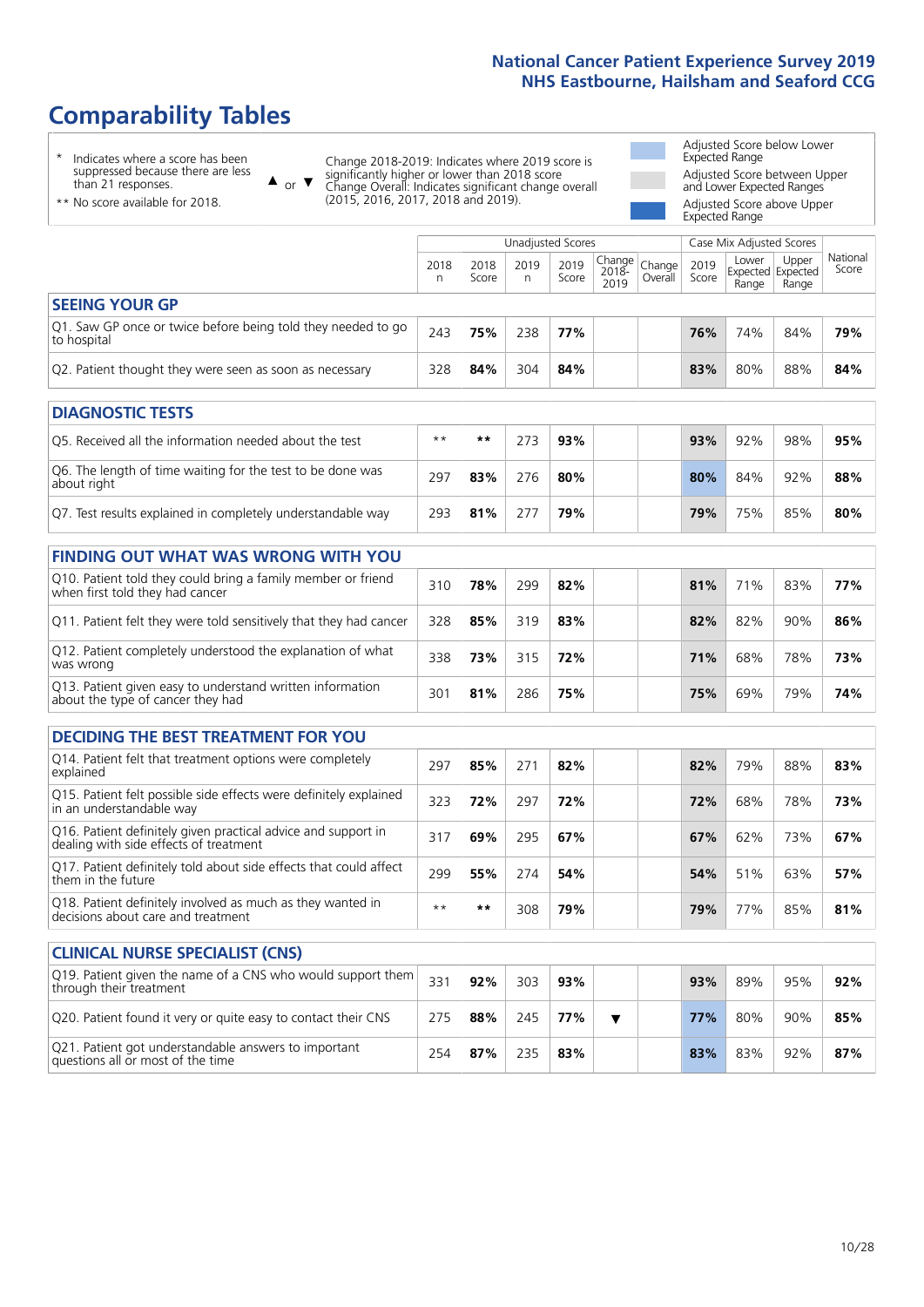# **Comparability Tables**

\* Indicates where a score has been suppressed because there are less than 21 responses.

\*\* No score available for 2018.

 $\triangle$  or  $\nabla$ 

Change 2018-2019: Indicates where 2019 score is significantly higher or lower than 2018 score Change Overall: Indicates significant change overall (2015, 2016, 2017, 2018 and 2019).

Adjusted Score below Lower Expected Range Adjusted Score between Upper and Lower Expected Ranges Adjusted Score above Upper Expected Range

|                                                                             |           |               | Unadjusted Scores |               |                                 |         |               | Case Mix Adjusted Scores            |                |                   |
|-----------------------------------------------------------------------------|-----------|---------------|-------------------|---------------|---------------------------------|---------|---------------|-------------------------------------|----------------|-------------------|
|                                                                             | 2018<br>n | 2018<br>Score | 2019<br>n.        | 2019<br>Score | Change Change <br>2018-<br>2019 | Overall | 2019<br>Score | Lower<br>Expected Expected<br>Range | Upper<br>Range | National<br>Score |
| <b>SEEING YOUR GP</b>                                                       |           |               |                   |               |                                 |         |               |                                     |                |                   |
| Q1. Saw GP once or twice before being told they needed to go<br>to hospital | 243       | 75%           | 238               | 77%           |                                 |         | 76%           | 74%                                 | 84%            | 79%               |
| Q2. Patient thought they were seen as soon as necessary                     | 328       | 84%           | 304               | 84%           |                                 |         | 83%           | 80%                                 | 88%            | 84%               |
| <b>DIAGNOSTIC TESTS</b>                                                     |           |               |                   |               |                                 |         |               |                                     |                |                   |
| Q5. Received all the information needed about the test                      | $***$     | $* *$         | 273               | 93%           |                                 |         | 93%           | 92%                                 | 98%            | 95%               |
| O6 The length of time waiting for the test to be done was                   |           |               |                   |               |                                 |         |               |                                     |                |                   |

| Q6. The length of time waiting for the test to be done was<br>about right | 297 | 83% | 276 | 80% |  | 80% | 84% | 92% | 88% |
|---------------------------------------------------------------------------|-----|-----|-----|-----|--|-----|-----|-----|-----|
| Q7. Test results explained in completely understandable way               | 293 | 81% |     | 79% |  | 79% | 75% | 85% | 80% |

| <b>FINDING OUT WHAT WAS WRONG WITH YOU</b>                                                      |     |     |     |     |            |     |     |     |
|-------------------------------------------------------------------------------------------------|-----|-----|-----|-----|------------|-----|-----|-----|
| Q10. Patient told they could bring a family member or friend<br>when first told they had cancer | 310 | 78% | 299 | 82% | 81%        | 71% | 83% | 77% |
| Q11. Patient felt they were told sensitively that they had cancer                               | 328 | 85% | 319 | 83% | 82%        | 82% | 90% | 86% |
| Q12. Patient completely understood the explanation of what<br>was wrong                         | 338 | 73% | 315 | 72% | <b>71%</b> | 68% | 78% | 73% |
| Q13. Patient given easy to understand written information<br>about the type of cancer they had  | 301 | 81% | 286 | 75% | 75%        | 69% | 79% | 74% |

| <b>DECIDING THE BEST TREATMENT FOR YOU</b>                                                              |      |      |     |     |  |     |     |     |     |
|---------------------------------------------------------------------------------------------------------|------|------|-----|-----|--|-----|-----|-----|-----|
| Q14. Patient felt that treatment options were completely<br>explained                                   | 297  | 85%  | 271 | 82% |  | 82% | 79% | 88% | 83% |
| Q15. Patient felt possible side effects were definitely explained<br>in an understandable way           | 323  | 72%  | 297 | 72% |  | 72% | 68% | 78% | 73% |
| Q16. Patient definitely given practical advice and support in<br>dealing with side effects of treatment | 317  | 69%  | 295 | 67% |  | 67% | 62% | 73% | 67% |
| Q17. Patient definitely told about side effects that could affect<br>them in the future                 | 299  | 55%  | 274 | 54% |  | 54% | 51% | 63% | 57% |
| Q18. Patient definitely involved as much as they wanted in<br>decisions about care and treatment        | $**$ | $**$ | 308 | 79% |  | 79% | 77% | 85% | 81% |

| <b>CLINICAL NURSE SPECIALIST (CNS)</b>                                                    |     |     |     |     |  |     |     |     |     |
|-------------------------------------------------------------------------------------------|-----|-----|-----|-----|--|-----|-----|-----|-----|
| Q19. Patient given the name of a CNS who would support them<br>through their treatment    | 331 | 92% | 303 | 93% |  | 93% | 89% | 95% | 92% |
| Q20. Patient found it very or quite easy to contact their CNS                             | 275 | 88% | 245 | 77% |  | 77% | 80% | 90% | 85% |
| Q21. Patient got understandable answers to important<br>questions all or most of the time | 254 | 87% | 235 | 83% |  | 83% | 83% | 92% | 87% |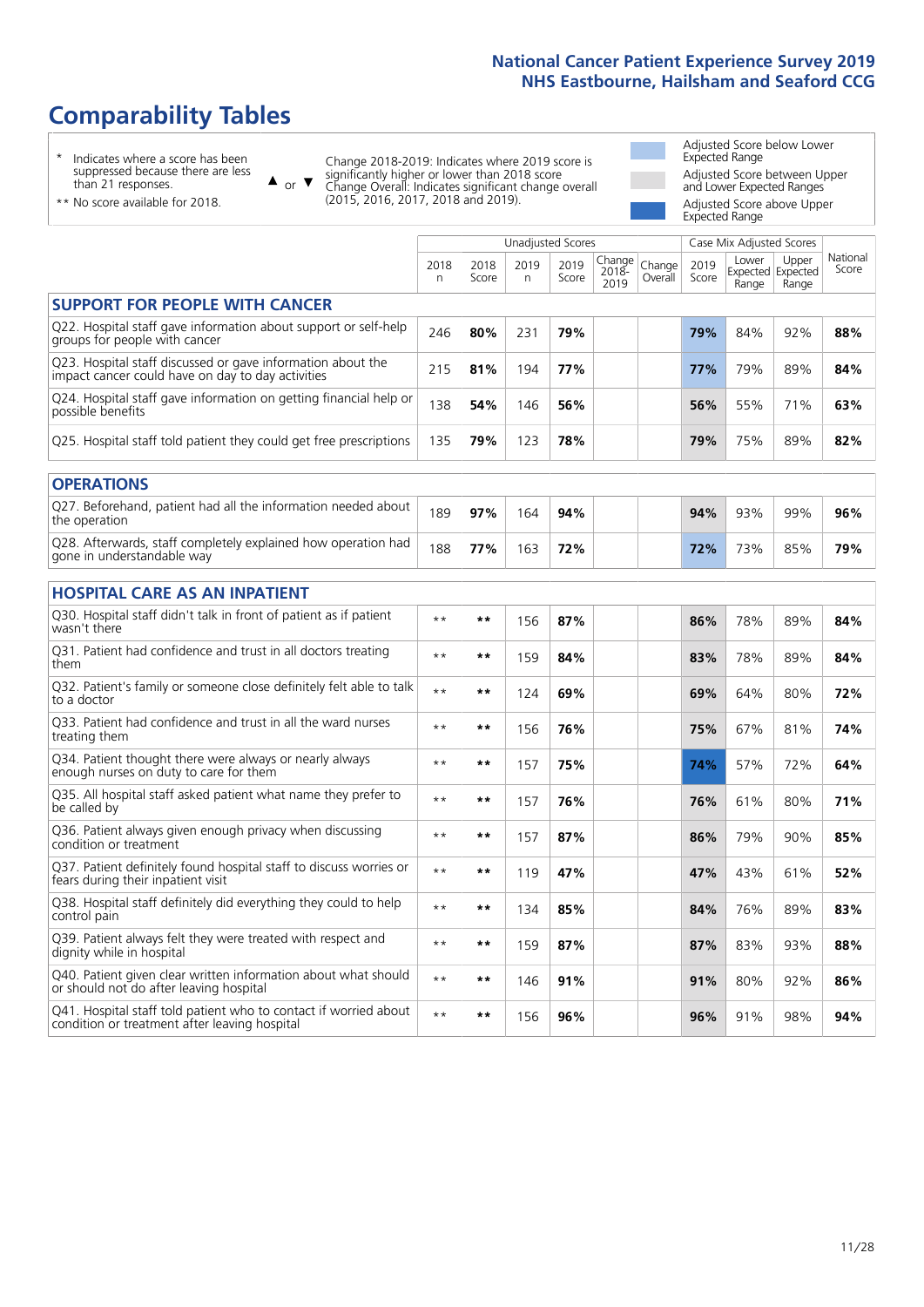# **Comparability Tables**

\* Indicates where a score has been suppressed because there are less than 21 responses.

\*\* No score available for 2018.

 $\triangle$  or  $\nabla$ 

Change 2018-2019: Indicates where 2019 score is significantly higher or lower than 2018 score Change Overall: Indicates significant change overall (2015, 2016, 2017, 2018 and 2019).

Adjusted Score below Lower Expected Range Adjusted Score between Upper and Lower Expected Ranges Adjusted Score above Upper Expected Range

|                                                                                                                   |              |               |           | <b>Unadjusted Scores</b> |                         |                   |               | Case Mix Adjusted Scores            |                |                   |
|-------------------------------------------------------------------------------------------------------------------|--------------|---------------|-----------|--------------------------|-------------------------|-------------------|---------------|-------------------------------------|----------------|-------------------|
|                                                                                                                   | 2018<br>n    | 2018<br>Score | 2019<br>n | 2019<br>Score            | Change<br>2018-<br>2019 | Change<br>Overall | 2019<br>Score | Lower<br>Expected Expected<br>Range | Upper<br>Range | National<br>Score |
| <b>SUPPORT FOR PEOPLE WITH CANCER</b>                                                                             |              |               |           |                          |                         |                   |               |                                     |                |                   |
| Q22. Hospital staff gave information about support or self-help<br>groups for people with cancer                  | 246          | 80%           | 231       | 79%                      |                         |                   | 79%           | 84%                                 | 92%            | 88%               |
| Q23. Hospital staff discussed or gave information about the<br>impact cancer could have on day to day activities  | 215          | 81%           | 194       | 77%                      |                         |                   | 77%           | 79%                                 | 89%            | 84%               |
| Q24. Hospital staff gave information on getting financial help or<br>possible benefits                            | 138          | 54%           | 146       | 56%                      |                         |                   | 56%           | 55%                                 | 71%            | 63%               |
| Q25. Hospital staff told patient they could get free prescriptions                                                | 135          | 79%           | 123       | 78%                      |                         |                   | 79%           | 75%                                 | 89%            | 82%               |
| <b>OPERATIONS</b>                                                                                                 |              |               |           |                          |                         |                   |               |                                     |                |                   |
| Q27. Beforehand, patient had all the information needed about<br>the operation                                    | 189          | 97%           | 164       | 94%                      |                         |                   | 94%           | 93%                                 | 99%            | 96%               |
| Q28. Afterwards, staff completely explained how operation had<br>gone in understandable way                       | 188          | 77%           | 163       | 72%                      |                         |                   | 72%           | 73%                                 | 85%            | 79%               |
| <b>HOSPITAL CARE AS AN INPATIENT</b>                                                                              |              |               |           |                          |                         |                   |               |                                     |                |                   |
| Q30. Hospital staff didn't talk in front of patient as if patient<br>wasn't there                                 | $***$        | **            | 156       | 87%                      |                         |                   | 86%           | 78%                                 | 89%            | 84%               |
| Q31. Patient had confidence and trust in all doctors treating<br>them                                             | $***$        | **            | 159       | 84%                      |                         |                   | 83%           | 78%                                 | 89%            | 84%               |
| Q32. Patient's family or someone close definitely felt able to talk<br>to a doctor                                | $* *$        | **            | 124       | 69%                      |                         |                   | 69%           | 64%                                 | 80%            | 72%               |
| Q33. Patient had confidence and trust in all the ward nurses<br>treating them                                     | $**$         | **            | 156       | 76%                      |                         |                   | 75%           | 67%                                 | 81%            | 74%               |
| Q34. Patient thought there were always or nearly always<br>enough nurses on duty to care for them                 | $* *$        | **            | 157       | 75%                      |                         |                   | 74%           | 57%                                 | 72%            | 64%               |
| Q35. All hospital staff asked patient what name they prefer to<br>be called by                                    | $**$         | **            | 157       | 76%                      |                         |                   | 76%           | 61%                                 | 80%            | 71%               |
| Q36. Patient always given enough privacy when discussing<br>condition or treatment                                | $**$         | **            | 157       | 87%                      |                         |                   | 86%           | 79%                                 | 90%            | 85%               |
| Q37. Patient definitely found hospital staff to discuss worries or<br>fears during their inpatient visit          | $**$         | **            | 119       | 47%                      |                         |                   | 47%           | 43%                                 | 61%            | 52%               |
| Q38. Hospital staff definitely did everything they could to help<br>control pain                                  | $***$        | $***$         | 134       | 85%                      |                         |                   | 84%           | 76%                                 | 89%            | 83%               |
| Q39. Patient always felt they were treated with respect and<br>dignity while in hospital                          | $\star\star$ | **            | 159       | 87%                      |                         |                   | 87%           | 83%                                 | 93%            | 88%               |
| Q40. Patient given clear written information about what should<br>or should not do after leaving hospital         | $**$         | **            | 146       | 91%                      |                         |                   | 91%           | 80%                                 | 92%            | 86%               |
| Q41. Hospital staff told patient who to contact if worried about<br>condition or treatment after leaving hospital | $**$         | **            | 156       | 96%                      |                         |                   | 96%           | 91%                                 | 98%            | 94%               |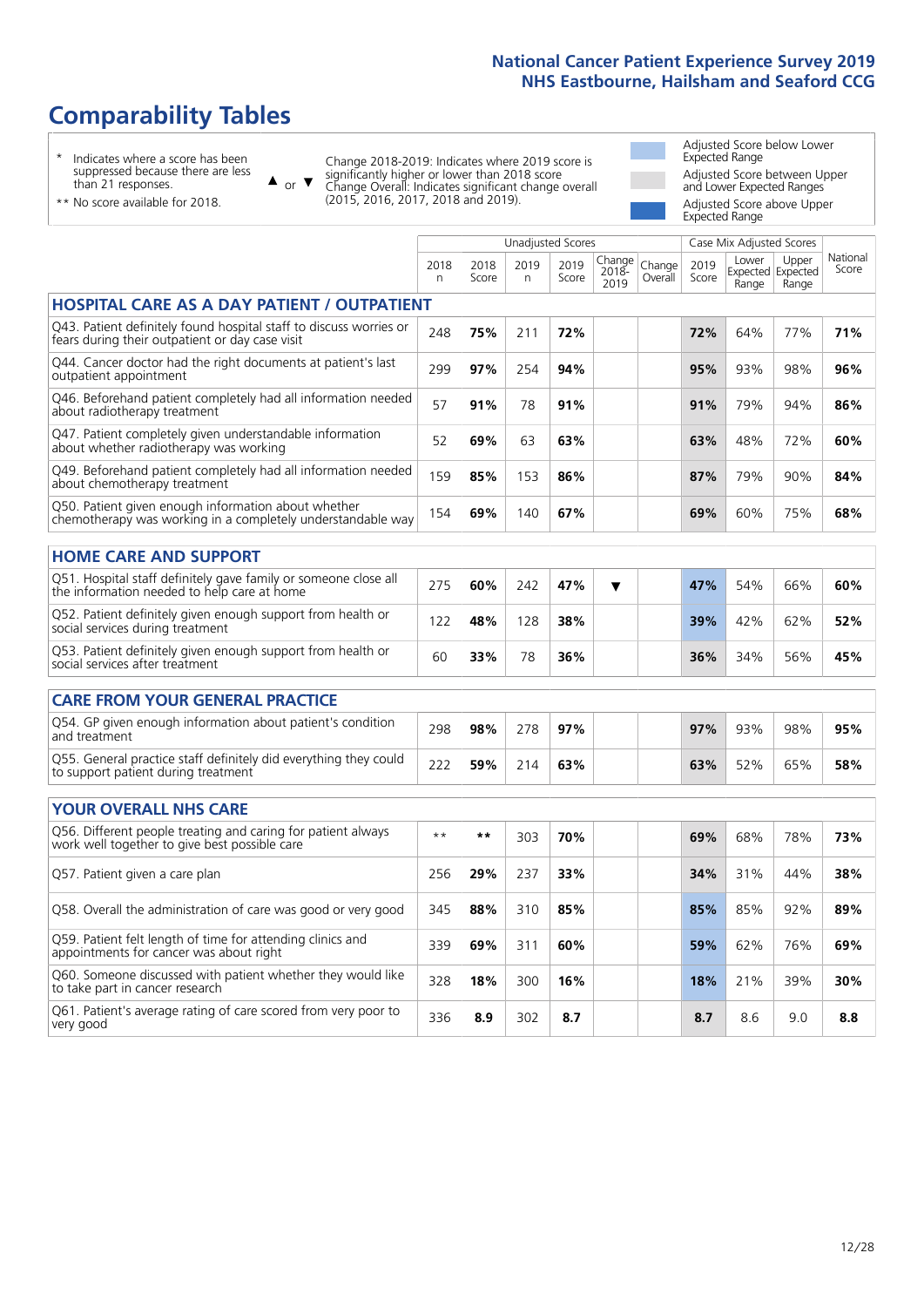# **Comparability Tables**

\* Indicates where a score has been suppressed because there are less than 21 responses.

\*\* No score available for 2018.

or  $\blacktriangledown$  $\blacktriangle$ 

Change 2018-2019: Indicates where 2019 score is significantly higher or lower than 2018 score Change Overall: Indicates significant change overall (2015, 2016, 2017, 2018 and 2019).

Adjusted Score below Lower Expected Range Adjusted Score between Upper and Lower Expected Ranges Adjusted Score above Upper Expected Range

National Score

|                                                                                                                       |           |               | <b>Unadjusted Scores</b> |               |                            | Case Mix Adjusted Scores |               |                |                                     |                 |
|-----------------------------------------------------------------------------------------------------------------------|-----------|---------------|--------------------------|---------------|----------------------------|--------------------------|---------------|----------------|-------------------------------------|-----------------|
|                                                                                                                       | 2018<br>n | 2018<br>Score | 2019<br>n                | 2019<br>Score | Change<br>$2018 -$<br>2019 | Change<br>Overall        | 2019<br>Score | Lower<br>Range | Upper<br>Expected Expected<br>Range | Nation<br>Score |
| <b>HOSPITAL CARE AS A DAY PATIENT / OUTPATIENT</b>                                                                    |           |               |                          |               |                            |                          |               |                |                                     |                 |
| Q43. Patient definitely found hospital staff to discuss worries or<br>fears during their outpatient or day case visit | 248       | 75%           | 211                      | 72%           |                            |                          | 72%           | 64%            | 77%                                 | 71%             |
| Q44. Cancer doctor had the right documents at patient's last<br>outpatient appointment                                | 299       | 97%           | 254                      | 94%           |                            |                          | 95%           | 93%            | 98%                                 | 96%             |
| Q46. Beforehand patient completely had all information needed<br>about radiotherapy treatment                         | 57        | 91%           | 78                       | 91%           |                            |                          | 91%           | 79%            | 94%                                 | 86%             |
| Q47. Patient completely given understandable information<br>about whether radiotherapy was working                    | 52        | 69%           | 63                       | 63%           |                            |                          | 63%           | 48%            | 72%                                 | 60%             |
| Q49. Beforehand patient completely had all information needed<br>about chemotherapy treatment                         | 159       | 85%           | 153                      | 86%           |                            |                          | 87%           | 79%            | 90%                                 | 84%             |
| Q50. Patient given enough information about whether<br>chemotherapy was working in a completely understandable way    | 154       | 69%           | 140                      | 67%           |                            |                          | 69%           | 60%            | 75%                                 | 68%             |
| <b>HOME CARE AND SUPPORT</b>                                                                                          |           |               |                          |               |                            |                          |               |                |                                     |                 |
| Q51. Hospital staff definitely gave family or someone close all<br>the information needed to help care at home        | 275       | 60%           | 242                      | 47%           | ▼                          |                          | 47%           | 54%            | 66%                                 | 60%             |
| Q52. Patient definitely given enough support from health or<br>social services during treatment                       | 122       | 48%           | 128                      | 38%           |                            |                          | 39%           | 42%            | 62%                                 | 52%             |
| Q53. Patient definitely given enough support from health or<br>social services after treatment                        | 60        | 33%           | 78                       | 36%           |                            |                          | 36%           | 34%            | 56%                                 | 45%             |
| <b>CARE FROM YOUR GENERAL PRACTICE</b>                                                                                |           |               |                          |               |                            |                          |               |                |                                     |                 |
| Q54. GP given enough information about patient's condition<br>and treatment                                           | 298       | 98%           | 278                      | 97%           |                            |                          | 97%           | 93%            | 98%                                 | 95%             |
| Q55. General practice staff definitely did everything they could<br>to support patient during treatment               | 222       | 59%           | 214                      | 63%           |                            |                          | 63%           | 52%            | 65%                                 | 58%             |
|                                                                                                                       |           |               |                          |               |                            |                          |               |                |                                     |                 |

| <b>YOUR OVERALL NHS CARE</b>                                                                                  |      |       |     |     |     |     |     |     |
|---------------------------------------------------------------------------------------------------------------|------|-------|-----|-----|-----|-----|-----|-----|
| Q56. Different people treating and caring for patient always<br>work well together to give best possible care | $**$ | $***$ | 303 | 70% | 69% | 68% | 78% | 73% |
| Q57. Patient given a care plan                                                                                | 256  | 29%   | 237 | 33% | 34% | 31% | 44% | 38% |
| Q58. Overall the administration of care was good or very good                                                 | 345  | 88%   | 310 | 85% | 85% | 85% | 92% | 89% |
| Q59. Patient felt length of time for attending clinics and<br>appointments for cancer was about right         | 339  | 69%   | 311 | 60% | 59% | 62% | 76% | 69% |
| Q60. Someone discussed with patient whether they would like<br>to take part in cancer research                | 328  | 18%   | 300 | 16% | 18% | 21% | 39% | 30% |
| Q61. Patient's average rating of care scored from very poor to<br>very good                                   | 336  | 8.9   | 302 | 8.7 | 8.7 | 8.6 | 9.0 | 8.8 |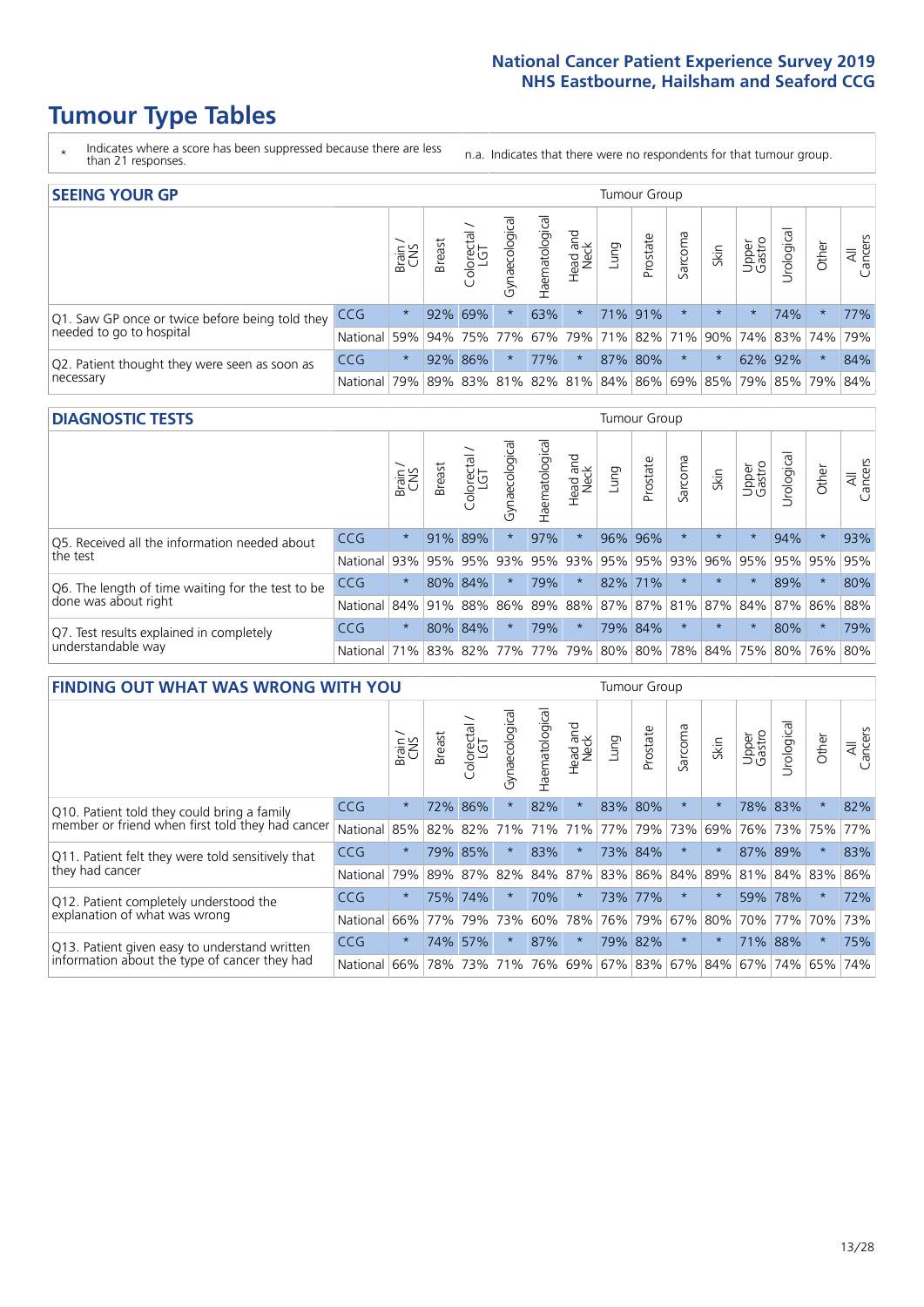# **Tumour Type Tables**

- \* Indicates where a score has been suppressed because there are less than 21 responses.
- n.a. Indicates that there were no respondents for that tumour group.

| <b>SEEING YOUR GP</b>                                      |                          |              |               |                   |                   |                |                  |      | Tumour Group    |         |         |                 |                                                 |         |                |
|------------------------------------------------------------|--------------------------|--------------|---------------|-------------------|-------------------|----------------|------------------|------|-----------------|---------|---------|-----------------|-------------------------------------------------|---------|----------------|
|                                                            |                          | Brain<br>CNS | <b>Breast</b> | Colorectal<br>LGT | ত<br>Gynaecologic | Haematological | Head and<br>Neck | Dung | Prostate        | Sarcoma | Skin    | Upper<br>Gastro | Urological                                      | Other   | All<br>Cancers |
| Q1. Saw GP once or twice before being told they            | <b>CCG</b>               | $\star$      |               | 92% 69%           |                   | 63%            | $\star$          |      | 71% 91%         |         | $\star$ | $\star$         | 74%                                             | $\ast$  | 77%            |
| needed to go to hospital                                   | National 59% 94% 75% 77% |              |               |                   |                   |                |                  |      | 67% 79% 71% 82% |         |         |                 | 71% 90% 74% 83% 74%                             |         | 79%            |
| Q2. Patient thought they were seen as soon as<br>necessary | <b>CCG</b>               | $\star$      |               | 92% 86%           |                   | 77%            | $\star$          |      | 87% 80%         |         | $\star$ |                 | 62% 92%                                         | $\star$ | 84%            |
|                                                            | National                 | 79%          |               |                   |                   |                |                  |      |                 |         |         |                 | 89% 83% 81% 82% 81% 84% 86% 69% 85% 79% 85% 79% |         | 84%            |

#### **DIAGNOSTIC TESTS** Tumour Group

|                                                                |              | Brain   | <b>Breast</b> | Colorectal<br>LGT           | ᅙ<br>Gynaecologic | Haematological | Head and<br>Neck | Lung        | Prostate | Sarcoma | Skin    | Upper<br>Gastro | rological                                   | Other   | All<br>Cancers |
|----------------------------------------------------------------|--------------|---------|---------------|-----------------------------|-------------------|----------------|------------------|-------------|----------|---------|---------|-----------------|---------------------------------------------|---------|----------------|
| Q5. Received all the information needed about<br>the test      | CCG          | $\star$ |               | 91% 89%                     |                   | 97%            | $\star$          | 96%         | 96%      |         | $\star$ | $\star$         | 94%                                         | $\star$ | 93%            |
|                                                                | National     | 93%     | 95%           | 95%                         | 93%               | 95%            |                  | 93% 95% 95% |          | 93%     | 96%     |                 | 95% 95%                                     | 95%     | 95%            |
| Q6. The length of time waiting for the test to be              | <b>CCG</b>   | $\star$ |               | 80% 84%                     | $\star$           | 79%            | $\star$          |             | 82% 71%  |         | $\star$ | $\star$         | 89%                                         | $\star$ | 80%            |
| done was about right                                           | National     |         |               | 84% 91% 88%                 |                   |                |                  |             |          |         |         |                 | 86% 89% 88% 87% 87% 81% 87% 84% 87% 86% 88% |         |                |
| Q7. Test results explained in completely<br>understandable way | CCG          | $\star$ |               | 80% 84%                     | $\star$           | 79%            | $\star$          |             | 79% 84%  |         | $\star$ | $\star$         | 80%                                         | $\star$ | 79%            |
|                                                                | National 71% |         |               | 83% 82% 77% 77% 79% 80% 80% |                   |                |                  |             |          |         |         |                 | 78% 84% 75% 80% 76% 80%                     |         |                |

| <b>FINDING OUT WHAT WAS WRONG WITH YOU</b>        |          |         |               |                        |                |               |                  |         | Tumour Group |         |         |                 |            |         |                |
|---------------------------------------------------|----------|---------|---------------|------------------------|----------------|---------------|------------------|---------|--------------|---------|---------|-----------------|------------|---------|----------------|
|                                                   |          | Brain   | <b>Breast</b> | olorectal.<br>LGT<br>Ū | Gynaecological | Haematologica | Head and<br>Neck | Lung    | Prostate     | Sarcoma | Skin    | Upper<br>Gastro | Irological | Other   | All<br>Cancers |
| Q10. Patient told they could bring a family       | CCG      | $\star$ | 72%           | 86%                    |                | 82%           | $\star$          | 83% 80% |              | $\star$ | 大       |                 | 78% 83%    | $\star$ | 82%            |
| member or friend when first told they had cancer  | National | 85%     | 82%           | 82%                    | 71%            | 71%           | 71%              | 77%     | 79%          | 73%     | 69%     | 76%             | 73%        | 75%     | 77%            |
| Q11. Patient felt they were told sensitively that | CCG      | $\star$ | 79%           | 85%                    |                | 83%           | $\ast$           |         | 73% 84%      | $\ast$  | $\ast$  | 87%             | 89%        | $\ast$  | 83%            |
| they had cancer                                   | National | 79%     | 89% 87%       |                        | 82%            |               | 84% 87%          |         | 83% 86%      | 84%     | 89%     | 81%             | 84% 83%    |         | 86%            |
| Q12. Patient completely understood the            | CCG      | $\star$ | 75%           | 74%                    |                | 70%           | $^\star$         |         | 73% 77%      | $\ast$  |         | 59%             | 78%        | $\ast$  | 72%            |
| explanation of what was wrong                     | National | 66%     | 77%           | 79%                    | 73%            | 60%           | 78%              | 76%     | 79%          | 67%     | 80%     | 70%             | 77%        | 70%     | 73%            |
| Q13. Patient given easy to understand written     | CCG      | $\star$ | 74%           | 57%                    |                | 87%           | $\star$          |         | 79% 82%      | $\ast$  | $\star$ | 71%             | 88%        | $\ast$  | 75%            |
| information about the type of cancer they had     | National | 66%     | 78%           | 73%                    | 71%            | 76%           | 69%              | 67% 83% |              | 67%     | 84%     | 67%             | 74%        | 65%     | 74%            |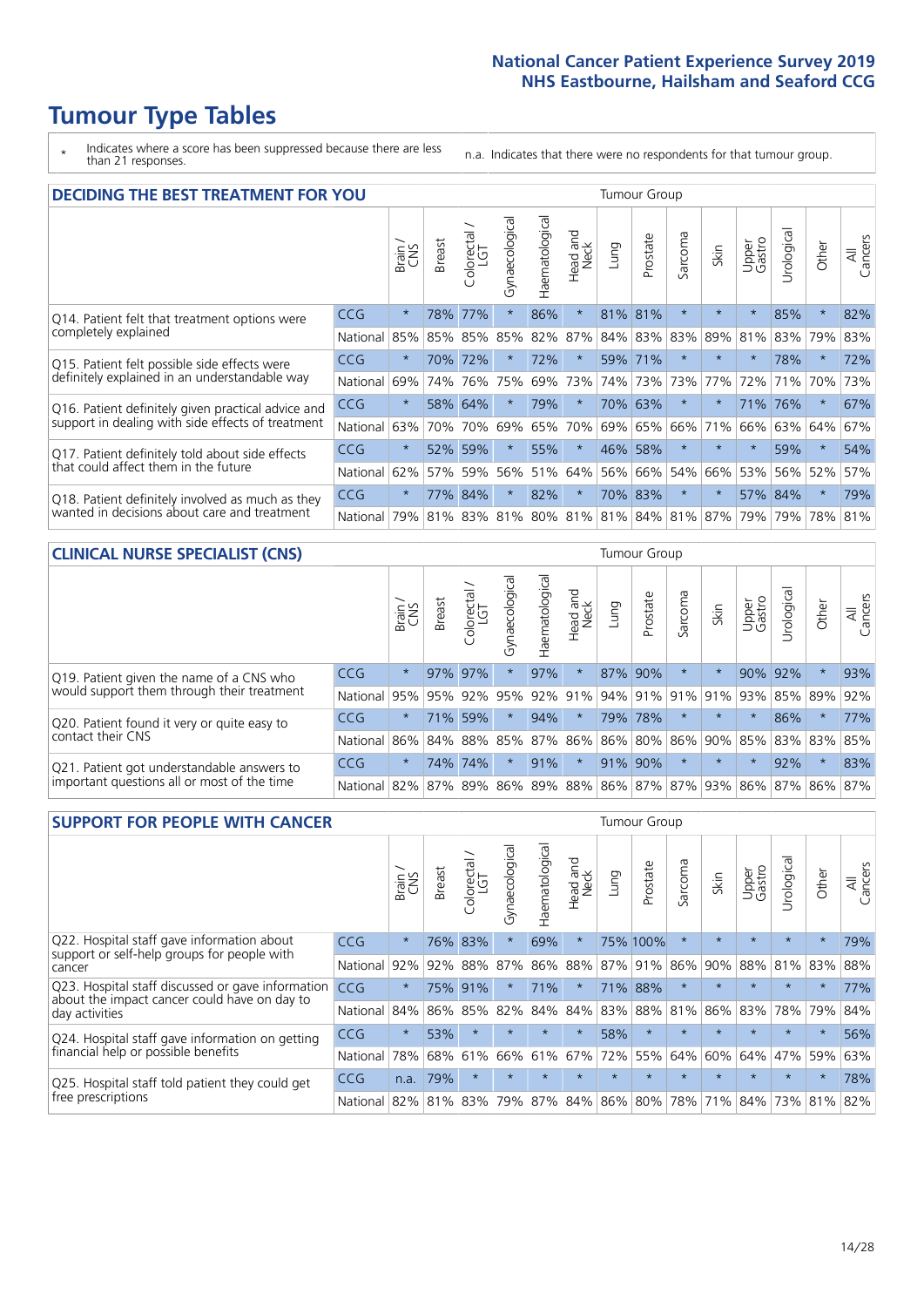# **Tumour Type Tables**

\* Indicates where a score has been suppressed because there are less than 21 responses.

n.a. Indicates that there were no respondents for that tumour group.

| <b>DECIDING THE BEST TREATMENT FOR YOU</b>         |            |         |               |                        |                |                |                        |      | <b>Tumour Group</b> |              |                             |                 |            |         |                |
|----------------------------------------------------|------------|---------|---------------|------------------------|----------------|----------------|------------------------|------|---------------------|--------------|-----------------------------|-----------------|------------|---------|----------------|
|                                                    |            | Brain   | <b>Breast</b> | olorectal.<br>LGT<br>Ũ | Gynaecological | Haematological | ad and<br>Neck<br>Head | Lung | Prostate            | arcoma<br>vĀ | Skin                        | Upper<br>Gastro | Jrological | Other   | All<br>Cancers |
| Q14. Patient felt that treatment options were      | CCG        | $\star$ | 78%           | 77%                    | $\star$        | 86%            | $\star$                | 81%  | 81%                 | $\star$      |                             | $\star$         | 85%        | $\star$ | 82%            |
| completely explained                               | National   | 85%     | 85%           | 85%                    | 85%            | 82%            | 87%                    |      | 84% 83%             | 83%          | 89%                         | 81%             | 83%        | 79%     | 83%            |
| Q15. Patient felt possible side effects were       | <b>CCG</b> | $\star$ | 70%           | 72%                    |                | 72%            | $\star$                |      | 59% 71%             | $\star$      | $\star$                     | $\star$         | 78%        | $\star$ | 72%            |
| definitely explained in an understandable way      | National   | 69%     | 74%           | 76%                    | 75%            | 69%            | 73%                    |      | 74% 73%             | 73%          | 77%                         | 72%             | 71%        | 70%     | 73%            |
| Q16. Patient definitely given practical advice and | <b>CCG</b> | $\star$ |               | 58% 64%                |                | 79%            | $\star$                |      | 70% 63%             | $^\star$     |                             | 71%             | 76%        | $\ast$  | 67%            |
| support in dealing with side effects of treatment  | National   | 63%     | 70%           | 70%                    | 69%            | 65%            | 70%                    |      | 69% 65%             | 66%          | 71%                         | 66%             | 63%        | 64%     | 67%            |
| Q17. Patient definitely told about side effects    | CCG        | $\star$ | 52%           | 59%                    | $\star$        | 55%            | $\star$                | 46%  | 58%                 | $\star$      | $\star$                     | $\star$         | 59%        | $\star$ | 54%            |
| that could affect them in the future               | National   | 62%     | 57%           | 59%                    | 56%            | 51%            | 64%                    |      | 56% 66%             | 54%          | 66%                         | 53%             | 56%        | 52%     | 57%            |
| Q18. Patient definitely involved as much as they   | CCG        | $\star$ | 77%           | 84%                    | $\star$        | 82%            | $\star$                |      | 70% 83%             | $^\star$     | $\star$                     |                 | 57% 84%    | $\star$ | 79%            |
| wanted in decisions about care and treatment       | National   | 79%     |               | 81% 83%                |                |                |                        |      |                     |              | 81% 80% 81% 81% 84% 81% 87% | 79%             | 79%        | 78% 81% |                |

### **CLINICAL NURSE SPECIALIST (CNS)** Tumour Group

|                                                                                           |            | Brain   | <b>Breast</b> | Colorectal<br>LGT | $\sigma$<br>Gynaecologic | Haematological  | Head and<br>Neck | Lung    | Prostate | Sarcoma | Skin                    | Upper<br>Gastro | rological       | Other   | All<br>Cancers |
|-------------------------------------------------------------------------------------------|------------|---------|---------------|-------------------|--------------------------|-----------------|------------------|---------|----------|---------|-------------------------|-----------------|-----------------|---------|----------------|
| Q19. Patient given the name of a CNS who                                                  | <b>CCG</b> | $\star$ |               | 97% 97%           |                          | 97%             | $\star$          | 87% 90% |          | $\star$ |                         | 90%             | 92%             | $\star$ | 93%            |
| would support them through their treatment                                                | National   | 95%     | 95%           | 92%               | 95%                      | 92%             | 91%              |         | 94% 91%  | 91%     | 91%                     | 93%             | 85% 89%         |         | 92%            |
| Q20. Patient found it very or quite easy to                                               | CCG        | $\star$ |               | 71% 59%           |                          | 94%             | $\star$          |         | 79% 78%  |         | $\star$                 | $\star$         | 86%             | $\star$ | 77%            |
| contact their CNS                                                                         | National   | 86%     | 84%           | 88%               | 85%                      | 87% 86% 86% 80% |                  |         |          | 86%     | 90%                     | 85%             | 83% 83%         |         | 85%            |
| Q21. Patient got understandable answers to<br>important questions all or most of the time | CCG        | $\star$ | 74%           | 74%               | $\star$                  | 91%             | $\star$          |         | 91% 90%  | $\star$ | $\star$                 | $\star$         | 92%             | $\star$ | 83%            |
|                                                                                           | National   | 82%     | 87%           | 89%               | 86%                      |                 |                  |         |          |         | 89% 88% 86% 87% 87% 93% |                 | 86% 87% 86% 87% |         |                |

| <b>SUPPORT FOR PEOPLE WITH CANCER</b>                                                             |            |         |               |            |                |                |                         |         |             | <b>Tumour Group</b>  |         |                 |            |          |                |
|---------------------------------------------------------------------------------------------------|------------|---------|---------------|------------|----------------|----------------|-------------------------|---------|-------------|----------------------|---------|-----------------|------------|----------|----------------|
|                                                                                                   |            | Brain   | <b>Breast</b> | Colorectal | Gynaecological | Haematological | ead and<br>Neck<br>Head | Lung    | Prostate    | arcoma<br>$\sqrt{ }$ | Skin    | Upper<br>Gastro | Jrological | Other    | All<br>Cancers |
| Q22. Hospital staff gave information about<br>support or self-help groups for people with         | <b>CCG</b> | $\star$ | 76%           | 83%        | $\star$        | 69%            | $\star$                 |         | 75% 100%    | $\star$              | $\star$ | $\star$         | $\star$    | $\star$  | 79%            |
| cancer                                                                                            | National   | 92%     | 92%           | 88%        | 87%            | 86%            | 88%                     |         | 87% 91%     | 86%                  | 90%     | 88%             | 81%        | 83%      | 88%            |
| Q23. Hospital staff discussed or gave information<br>about the impact cancer could have on day to | CCG        | $\star$ | 75%           | 91%        | $\star$        | 71%            | $\star$                 | 71%     | 88%         | $\star$              | $\star$ | $\star$         | $\star$    | $\star$  | 77%            |
| day activities                                                                                    | National   | 84%     | 86%           | 85%        | 82%            | 84%            | 84%                     | 83%     | 88%         | 81%                  | 86%     | 83%             | 78%        | 79%      | 84%            |
| Q24. Hospital staff gave information on getting                                                   | CCG        | $\star$ | 53%           | $\star$    | $\star$        | $\star$        | $\ast$                  | 58%     | $\star$     | $\star$              | $\star$ | $\star$         | $\star$    | $^\star$ | 56%            |
| financial help or possible benefits                                                               | National   | 78%     | 68%           | 61%        | 66%            | 61%            | 67%                     | 72%     | 55%         | 64%                  | 60%     | 64%             | 47%        | 59%      | 63%            |
| Q25. Hospital staff told patient they could get                                                   | CCG        | n.a.    | 79%           |            | $\star$        |                | $\star$                 | $\star$ | $\star$     | $\star$              |         | $\star$         | $\star$    | $\star$  | 78%            |
| free prescriptions                                                                                | National   | 82%     | 81%           | 83%        | 79%            | 87%            |                         |         | 84% 86% 80% | 78%                  | 71%     | 84%             |            | 73% 81%  | 82%            |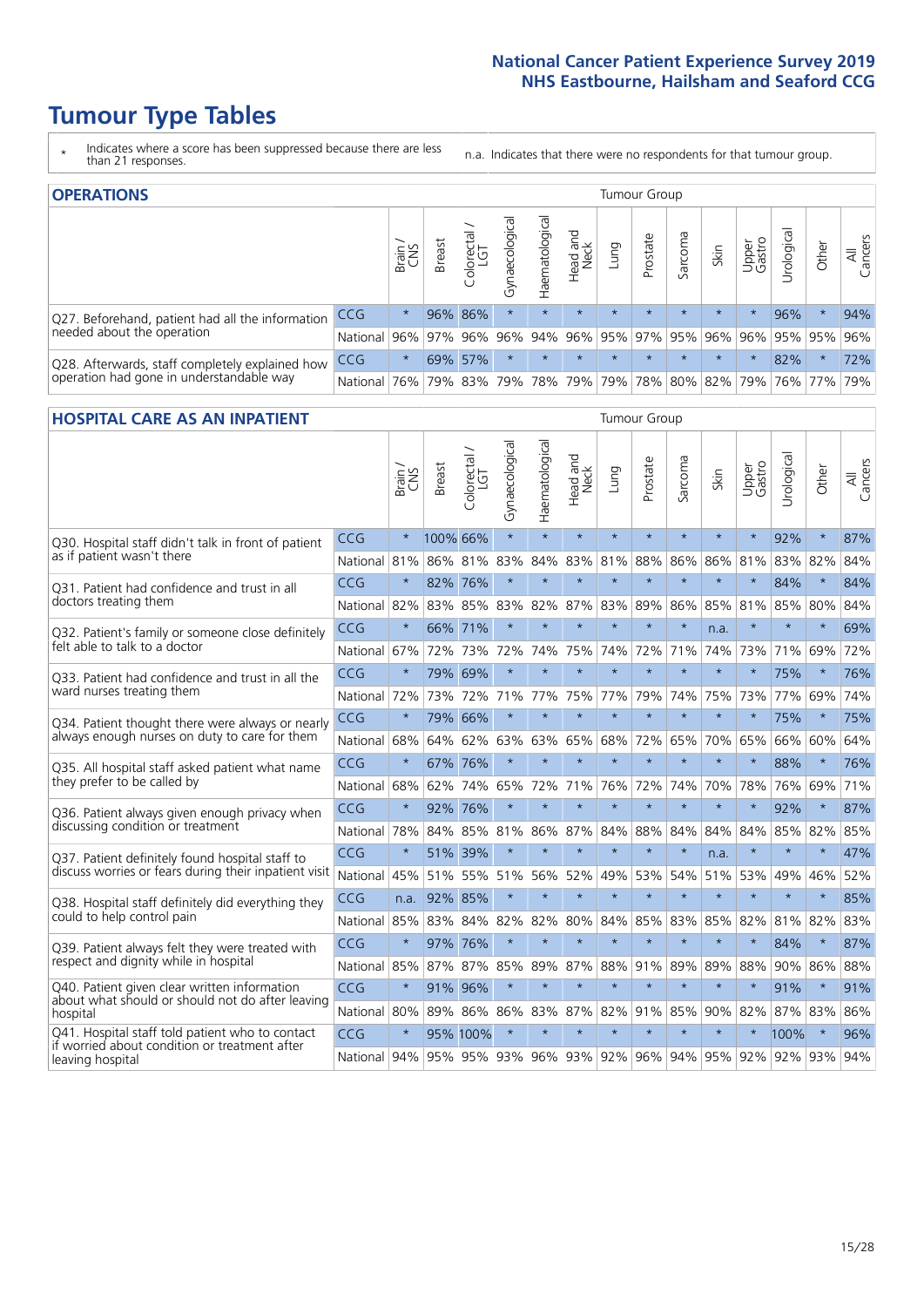# **Tumour Type Tables**

- \* Indicates where a score has been suppressed because there are less than 21 responses.
- n.a. Indicates that there were no respondents for that tumour group.

| <b>OPERATIONS</b>                                                                           |            |              |               |                   |                   | Tumour Group   |                  |             |          |         |                             | All<br>Cancers<br>94% |           |                                                  |     |
|---------------------------------------------------------------------------------------------|------------|--------------|---------------|-------------------|-------------------|----------------|------------------|-------------|----------|---------|-----------------------------|-----------------------|-----------|--------------------------------------------------|-----|
|                                                                                             |            | Brain<br>CNS | <b>Breast</b> | Colorectal<br>LGT | ক<br>Gynaecologic | Haematological | Head and<br>Neck | <b>Gunn</b> | Prostate | Sarcoma | Skin                        | Upper<br>Gastro       | rological | Other                                            |     |
| Q27. Beforehand, patient had all the information                                            | CCG        | $\star$      |               | 96% 86%           | $\star$           | $\star$        | $\star$          | $\star$     | $\star$  | $\star$ | $\star$                     | $\star$               | 96%       | $\ast$                                           |     |
| needed about the operation                                                                  | National   | 96%          | 97%           | 96%               |                   |                |                  |             |          |         |                             |                       |           | 96%  94%  96%  95%  97%  95%  96%  96%  95%  95% | 96% |
| Q28. Afterwards, staff completely explained how<br>operation had gone in understandable way | <b>CCG</b> | $\star$      |               | 69% 57%           | $\star$           |                | $\star$          | $\star$     | $\star$  | $\star$ | $\star$                     | $\star$               | 82%       | $\star$                                          | 72% |
|                                                                                             | National   | 76%          |               | 79% 83%           |                   |                | 79%   78%   79%  |             |          |         | 79%   78%   80%   82%   79% |                       |           | 76%   77%                                        | 79% |

#### **HOSPITAL CARE AS AN INPATIENT** Tumour Group

|                                                                                                  |              | Brain   | <b>Breast</b> | $\frac{\text{Colored}}{\text{LGT}}$ | Gynaecological | Haematological          | Head and<br><b>Neck</b> | Lung    | Prostate | Sarcoma | Skin            | Upper<br>Gastro | Urological | Other   | Cancers<br>$\overline{\overline{\mathbf{z}}}$ |
|--------------------------------------------------------------------------------------------------|--------------|---------|---------------|-------------------------------------|----------------|-------------------------|-------------------------|---------|----------|---------|-----------------|-----------------|------------|---------|-----------------------------------------------|
| Q30. Hospital staff didn't talk in front of patient                                              | CCG          | $\star$ | 100% 66%      |                                     | $\star$        | $\star$                 | $\star$                 | $\star$ | $\star$  | $\star$ | $\star$         | $\star$         | 92%        | $\star$ | 87%                                           |
| as if patient wasn't there                                                                       | National     | 81%     | 86%           | 81%                                 | 83%            | 84%                     | 83%                     | 81%     | 88%      | 86%     | 86%             | 81%             | 83%        | 82%     | 84%                                           |
| 031. Patient had confidence and trust in all                                                     | CCG          | $\star$ | 82% 76%       |                                     | $\star$        | $\star$                 | $\star$                 | $\star$ | $\star$  | $\star$ | $\star$         |                 | 84%        | $\star$ | 84%                                           |
| doctors treating them                                                                            | National     | 82%     | 83%           | 85%                                 | 83%            | 82%                     |                         | 87% 83% | 89%      | 86%     | 85%             | 81%             | 85%        | 80%     | 84%                                           |
| Q32. Patient's family or someone close definitely                                                | CCG          | $\star$ | 66%           | 71%                                 | $\star$        | $\star$                 | $\star$                 | $\star$ | $\star$  | $\star$ | n.a.            |                 | $\star$    | $\star$ | 69%                                           |
| felt able to talk to a doctor                                                                    | National     | 67%     | 72%           | 73%                                 | 72%            | 74%                     | 75%                     | 74%     | 72%      | 71%     | 74%             | 73%             | 71%        | 69%     | 72%                                           |
| Q33. Patient had confidence and trust in all the                                                 | CCG          | $\star$ | 79%           | 69%                                 | $\star$        | $\star$                 | $\star$                 | $\star$ | $\star$  | $\star$ | $\star$         | $\star$         | 75%        | $\star$ | 76%                                           |
| ward nurses treating them                                                                        | National     | 72%     | 73%           | 72%                                 |                | 71% 77%                 |                         | 75% 77% | 79%      | 74%     | 75%             | 73%             | 77%        | 69%     | 74%                                           |
| Q34. Patient thought there were always or nearly                                                 | CCG          | $\star$ |               | 79% 66%                             | $\star$        | $\star$                 | $\star$                 | $\star$ | $\star$  | $\star$ | $\star$         | $\star$         | 75%        | $\star$ | 75%                                           |
| always enough nurses on duty to care for them                                                    | National     | 68%     | 64%           | 62%                                 | 63%            | 63%                     | 65%                     | 68%     | 72%      | 65%     | 70%             | 65%             | 66%        | 60%     | 64%                                           |
| Q35. All hospital staff asked patient what name                                                  | CCG          | $\star$ | 67% 76%       |                                     | $\star$        | $\star$                 | $\star$                 | $\star$ | $\star$  | $\star$ | $\star$         | $\star$         | 88%        | $\star$ | 76%                                           |
| they prefer to be called by                                                                      | National     | 68%     | 62%           | 74%                                 | 65%            | 72%                     |                         | 71% 76% | 72%      | 74%     | 70%             | 78%             | 76%        | 69%     | 71%                                           |
| Q36. Patient always given enough privacy when                                                    | CCG          | $\star$ | 92%           | 76%                                 | $\star$        | $\star$                 | $\star$                 | $\star$ | $\star$  | $\star$ | $\star$         | $\star$         | 92%        | $\star$ | 87%                                           |
| discussing condition or treatment                                                                | National     | 78%     | 84%           | 85%                                 | 81%            | 86%                     |                         | 87% 84% | 88%      | 84%     | 84%             | 84%             | 85%        | 82%     | 85%                                           |
| Q37. Patient definitely found hospital staff to                                                  | CCG          | $\star$ | 51%           | 39%                                 | $\star$        | $\star$                 | $\star$                 | $\star$ | $\star$  | $\star$ | n.a.            | $\star$         | $\star$    | $\star$ | 47%                                           |
| discuss worries or fears during their inpatient visit                                            | National     | 45%     | 51%           | 55%                                 | 51%            | 56%                     |                         | 52% 49% | 53%      | 54%     | 51%             | 53%             | 49%        | 46%     | 52%                                           |
| Q38. Hospital staff definitely did everything they                                               | CCG          |         | n.a. 92% 85%  |                                     | $\star$        | $\star$                 | $\star$                 | $\star$ | $\star$  | $\star$ | $\star$         | $\star$         | $\star$    | $\star$ | 85%                                           |
| could to help control pain                                                                       | National     | 85%     | 83%           | 84%                                 | 82%            | 82%                     | 80%                     | 84%     | 85%      | 83%     | 85%             | 82%             | 81%        | 82%     | 83%                                           |
| Q39. Patient always felt they were treated with                                                  | CCG          | $\star$ | 97% 76%       |                                     | $\star$        | $\star$                 | $\star$                 | $\star$ | $\star$  | $\star$ | $\star$         |                 | 84%        | $\star$ | 87%                                           |
| respect and dignity while in hospital                                                            | National     | 85%     |               | 87% 87%                             | 85%            | 89%                     | 87%                     | 88%     | 91%      | 89%     | 89%             | 88%             | $90\%$     | 86%     | 88%                                           |
| Q40. Patient given clear written information<br>about what should or should not do after leaving | CCG          | $\star$ | 91%           | 96%                                 | $\star$        | $\star$                 | $\star$                 | $\star$ | $\star$  | $\star$ | $\star$         | $\star$         | 91%        | $\star$ | 91%                                           |
| hospital                                                                                         | National 80% |         | 89%           | 86%                                 | 86%            | 83%                     |                         | 87% 82% | 91%      | 85%     | 90%             | 82%             | 87%        | 83%     | 86%                                           |
| Q41. Hospital staff told patient who to contact<br>if worried about condition or treatment after | CCG          | $\star$ |               | 95% 100%                            | $\star$        | $\star$                 | $\star$                 | $\star$ | $\star$  | $\star$ | $\star$         |                 | 100%       | $\star$ | 96%                                           |
| leaving hospital                                                                                 | National 94% |         |               |                                     |                | 95% 95% 93% 96% 93% 92% |                         |         |          |         | 96% 94% 95% 92% |                 |            | 92% 93% | 94%                                           |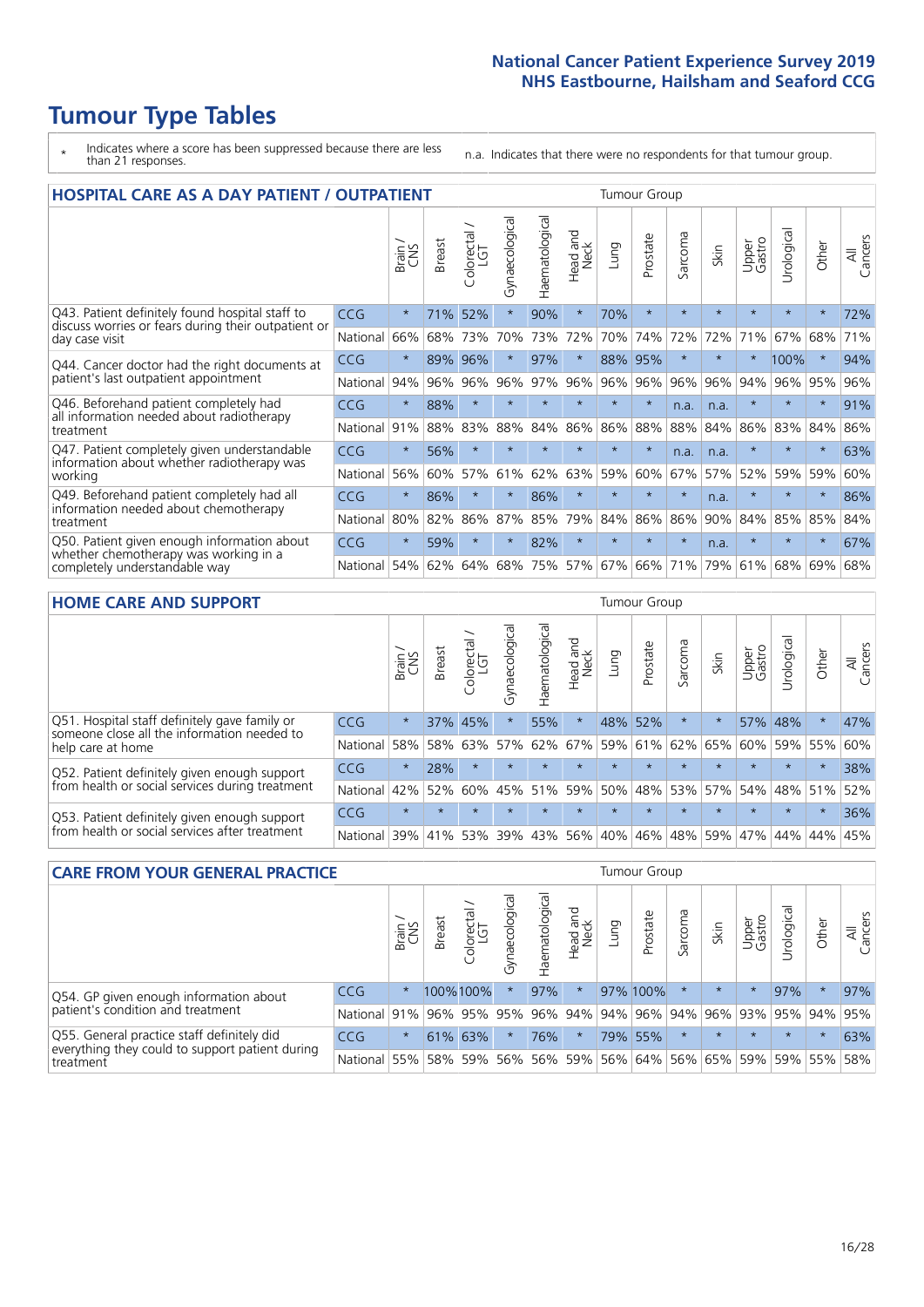# **Tumour Type Tables**

- \* Indicates where a score has been suppressed because there are less than 21 responses.
- n.a. Indicates that there were no respondents for that tumour group.

| <b>HOSPITAL CARE AS A DAY PATIENT / OUTPATIENT</b>                     |            |         |               |                            |                |                |                         |         |          | <b>Tumour Group</b> |         |                 |            |         |                |
|------------------------------------------------------------------------|------------|---------|---------------|----------------------------|----------------|----------------|-------------------------|---------|----------|---------------------|---------|-----------------|------------|---------|----------------|
|                                                                        |            | Brain   | <b>Breast</b> | ╮<br>olorectal<br>LGT<br>Ũ | Gynaecological | Haematological | ead and<br>Neck<br>Head | Lung    | Prostate | Sarcoma             | Skin    | Upper<br>Gastro | Urological | Other   | All<br>Cancers |
| Q43. Patient definitely found hospital staff to                        | CCG        | $\star$ | 71%           | 52%                        | $\star$        | 90%            | $\star$                 | 70%     | $\star$  | $\star$             | $\star$ | $\star$         | $\star$    | $\star$ | 72%            |
| discuss worries or fears during their outpatient or<br>day case visit  | National   | 66%     | 68%           | 73%                        | 70%            | 73%            | 72%                     | 70%     | 74%      | 72%                 | 72%     | 71%             | 67%        | 68%     | 71%            |
| Q44. Cancer doctor had the right documents at                          | <b>CCG</b> | $\star$ | 89%           | 96%                        | $\star$        | 97%            | $\star$                 | 88%     | 95%      | $\star$             |         |                 | 100%       | $\star$ | 94%            |
| patient's last outpatient appointment                                  | National   | 94%     | 96%           | 96%                        | 96%            | 97%            | 96%                     | 96%     | 96%      | 96%                 | 96%     | 94%             | 96%        | 95%     | 96%            |
| Q46. Beforehand patient completely had                                 | CCG        | $\star$ | 88%           | $\star$                    |                |                | $\star$                 | $\star$ | $\star$  | n.a.                | n.a.    | $\star$         | $\star$    | $\star$ | 91%            |
| all information needed about radiotherapy<br>treatment                 | National   | 91%     | 88%           | 83%                        | 88%            | 84%            | 86%                     | 86%     | 88%      | 88%                 | 84%     | 86%             | 83%        | 84%     | 86%            |
| Q47. Patient completely given understandable                           | CCG        | $\star$ | 56%           | $\star$                    | $\star$        |                | $\star$                 | $\star$ | $\star$  | n.a.                | n.a.    | $\star$         | $\star$    | $\star$ | 63%            |
| information about whether radiotherapy was<br>working                  | National   | 56%     | 60%           | 57%                        | 61%            | 62%            | 63%                     | 59%     | 60%      | 67%                 | 57%     | 52%             | 59%        | 59%     | 60%            |
| Q49. Beforehand patient completely had all                             | CCG        | $\star$ | 86%           | $\star$                    | $\star$        | 86%            | $\star$                 | $\star$ | $\star$  | $\star$             | n.a.    | $\star$         | $^\star$   | $\ast$  | 86%            |
| information needed about chemotherapy<br>treatment                     | National   | 80%     | 82%           | 86%                        | 87%            | 85%            | 79%                     | 84%     | 86%      | 86%                 | 90%     | 84%             | 85%        | 85%     | 84%            |
| Q50. Patient given enough information about                            | <b>CCG</b> | $\star$ | 59%           |                            | $\star$        | 82%            | $\star$                 | $\star$ | $\star$  | $\star$             | n.a.    | $\star$         |            | 大       | 67%            |
| whether chemotherapy was working in a<br>completely understandable way | National   | 54%     | 62%           | 64%                        | 68%            | 75%            |                         | 57% 67% | 66%      | 71%                 | 79%     | 61%             | 68%        | 69%     | 68%            |

#### **HOME CARE AND SUPPORT** Tumour Group

|                                                                                                                   |            | Brain   | <b>Breast</b> | olorectal<br>LGT<br>Ũ | ᢛ<br>Gynaecologic | Haematological | ad and<br>Neck<br>Head | <b>Dung</b> | Prostate | Sarcoma  | Skin    | Upper<br>Gastro | Irological | Other   | All<br>Cancers |
|-------------------------------------------------------------------------------------------------------------------|------------|---------|---------------|-----------------------|-------------------|----------------|------------------------|-------------|----------|----------|---------|-----------------|------------|---------|----------------|
| Q51. Hospital staff definitely gave family or<br>someone close all the information needed to<br>help care at home | <b>CCG</b> | $\star$ |               | 37% 45%               |                   | 55%            | $\star$                | 48%         | 52%      | $^\star$ |         |                 | 57% 48%    | $\ast$  | 47%            |
|                                                                                                                   | National   | 58%     | 58%           | 63%                   | 57%               | 62%            | 67%                    |             | 59% 61%  |          | 62% 65% | 60%             | 59% 55%    |         | 60%            |
| Q52. Patient definitely given enough support                                                                      | <b>CCG</b> | $\star$ | 28%           | $\star$               | $\star$           | $\star$        | $\star$                | $\star$     | $\star$  | $\star$  | $\star$ | $\star$         | $\star$    | $\star$ | 38%            |
| from health or social services during treatment                                                                   | National   | 42%     | 52%           | 60%                   |                   | 45% 51%        | 59%                    | 50%         | 48%      |          | 53% 57% | 54%             | 48% 51%    |         | 52%            |
| Q53. Patient definitely given enough support<br>from health or social services after treatment                    | <b>CCG</b> | $\star$ |               | $\star$               | $\star$           |                | $\star$                | $\star$     | $\star$  |          | $\star$ | $\star$         | $\star$    | $\star$ | 36%            |
|                                                                                                                   | National   | 139%    |               | 41% 53%               | 39%               | 43%            | 56%                    | 40%         | 46%      | 48% 59%  |         | 47%             | 44%        | 44%     | 45%            |

| <b>CARE FROM YOUR GENERAL PRACTICE</b>                       |              |         |               | <b>Tumour Group</b>    |               |                |                  |      |                                         |         |         |                 |                |         |                |  |  |
|--------------------------------------------------------------|--------------|---------|---------------|------------------------|---------------|----------------|------------------|------|-----------------------------------------|---------|---------|-----------------|----------------|---------|----------------|--|--|
|                                                              |              | Brain,  | <b>Breast</b> | ー<br>Colorectal<br>LGT | Gynaecologica | Haematological | Head and<br>Neck | Lung | Prostate                                | Sarcoma | Skin    | Upper<br>Gastro | Φ<br>Urologica | Other   | All<br>Cancers |  |  |
| Q54. GP given enough information about                       | CCG          | $\star$ |               | 100%100%               |               | 97%            | $\star$          |      | 97% 100%                                |         | $\star$ | $\star$         | 97%            | $\ast$  | 97%            |  |  |
| patient's condition and treatment                            | National 91% |         |               |                        | 96% 95% 95%   |                |                  |      | 96% 94% 94% 96% 94% 96% 93% 95% 94%     |         |         |                 |                |         | 95%            |  |  |
| Q55. General practice staff definitely did                   | <b>CCG</b>   | $\star$ |               | 61% 63%                |               | 76%            | $\star$          |      | 79% 55%                                 |         | $\star$ | $\star$         | $\star$        | $\star$ | 63%            |  |  |
| everything they could to support patient during<br>treatment | National 55% |         |               |                        | 58% 59% 56%   |                |                  |      | 56% 59% 56% 64% 56% 65% 59% 59% 55% 58% |         |         |                 |                |         |                |  |  |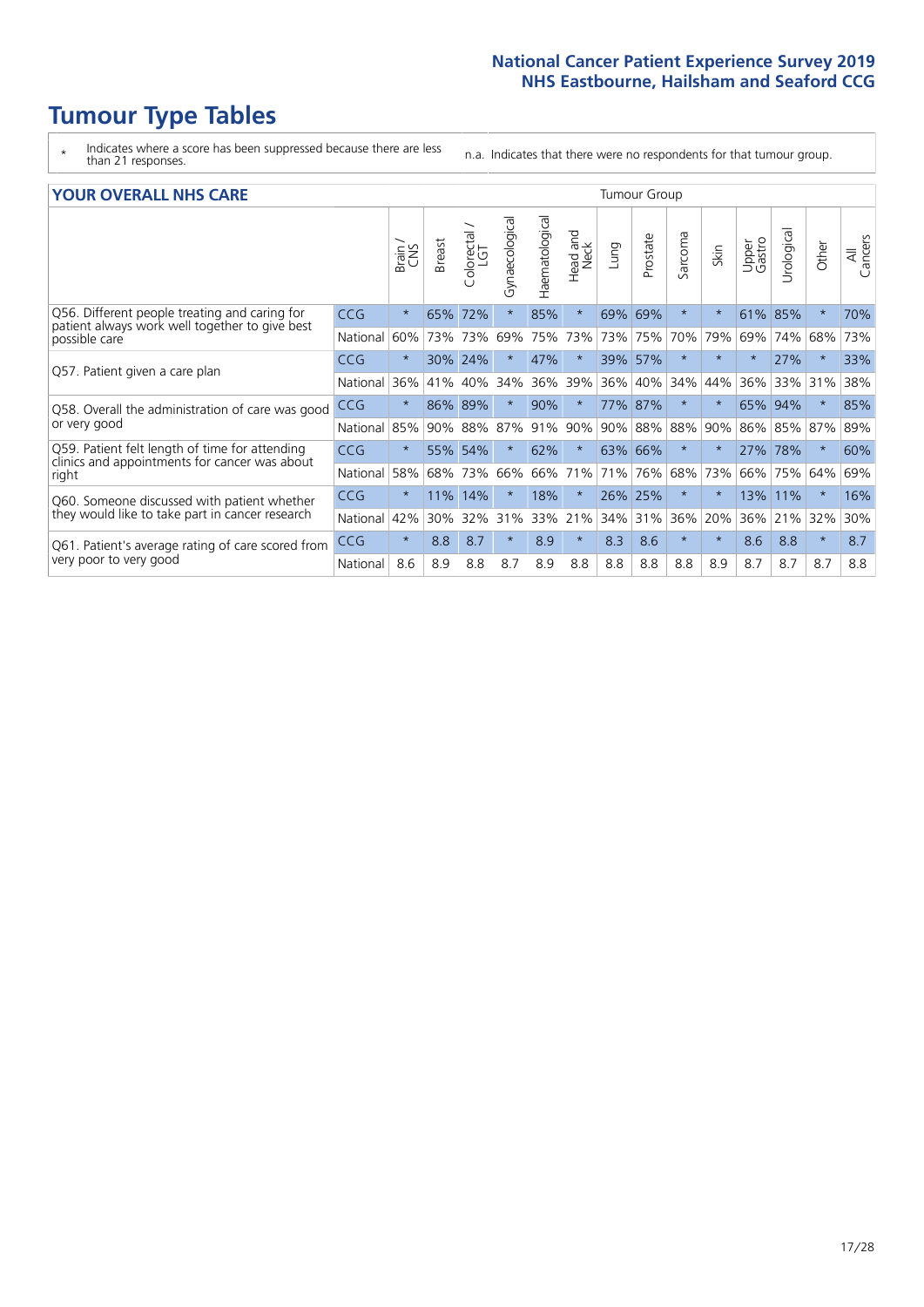# **Tumour Type Tables**

- \* Indicates where a score has been suppressed because there are less than 21 responses.
- n.a. Indicates that there were no respondents for that tumour group.

| <b>YOUR OVERALL NHS CARE</b> |  |  |
|------------------------------|--|--|
|------------------------------|--|--|

| <b>YOUR OVERALL NHS CARE</b>                                                                    |            |         |        |                         |                |                |                  |         |          | <b>Tumour Group</b> |         |                 |           |          |                |
|-------------------------------------------------------------------------------------------------|------------|---------|--------|-------------------------|----------------|----------------|------------------|---------|----------|---------------------|---------|-----------------|-----------|----------|----------------|
|                                                                                                 |            | Brain   | Breast | colorectal.<br>LGT<br>Û | Gynaecological | Haematological | Head and<br>Neck | Lung    | Prostate | arcoma<br>آرا       | Skin    | Upper<br>Gastro | Urologica | Other    | All<br>Cancers |
| Q56. Different people treating and caring for<br>patient always work well together to give best | <b>CCG</b> | $\star$ | 65%    | 72%                     | $\star$        | 85%            | $\star$          | 69%     | 69%      | $\star$             | $\star$ | 61%             | 85%       | $\star$  | 70%            |
| possible care                                                                                   | National   | 60%     | 73%    | 73%                     | 69%            | 75%            | 73%              | 73%     | 75%      | 70%                 | 79%     | 69%             | 74%       | 68%      | 73%            |
| Q57. Patient given a care plan                                                                  | <b>CCG</b> | $\star$ |        | 30% 24%                 |                | 47%            | $\star$          | 39% 57% |          | $\star$             | $\star$ |                 | 27%       | $\star$  | 33%            |
|                                                                                                 | National   | 36%     | 41%    | 40%                     | 34%            | 36%            | 39%              | 36% 40% |          | 34%                 | 44%     | 36%             | 33% 31%   |          | 38%            |
| Q58. Overall the administration of care was good                                                | <b>CCG</b> | $\star$ | 86%    | 89%                     | $\star$        | 90%            | $\star$          | 77% 87% |          | $\star$             | $\ast$  | 65% 94%         |           | $\star$  | 85%            |
| or very good                                                                                    | National   | 85%     | 90%    | 88%                     | 87%            | 91%            | 90%              | 90%     | 88%      | 88%                 | 90%     | 86%             | 85%       | 87%      | 89%            |
| Q59. Patient felt length of time for attending                                                  | <b>CCG</b> | $\star$ | 55%    | 54%                     | $\star$        | 62%            | $\ast$           | 63% 66% |          | $\ast$              | $\star$ | 27%             | 78%       | $\star$  | 60%            |
| clinics and appointments for cancer was about<br>right                                          | National   | 58%     | 68%    | 73%                     | 66%            | 66%            | 71%              | 71%     | 76%      | 68%                 | 73%     | 66%             | 75%       | 64%      | 69%            |
| Q60. Someone discussed with patient whether                                                     | <b>CCG</b> | $\star$ | 11%    | 14%                     |                | 18%            | $\ast$           | 26% 25% |          | $\ast$              | $\ast$  | 13%             | 11%       | $^\star$ | 16%            |
| they would like to take part in cancer research                                                 | National   | 42%     | 30%    | 32%                     | 31%            | 33%            | 21%              | 34% 31% |          | 36%                 | 20%     | 36%             | 21%       | 32%      | 30%            |
| Q61. Patient's average rating of care scored from<br>very poor to very good                     | <b>CCG</b> | $\star$ | 8.8    | 8.7                     | $\star$        | 8.9            | $\ast$           | 8.3     | 8.6      | $\star$             | $\star$ | 8.6             | 8.8       | $\star$  | 8.7            |
|                                                                                                 | National   | 8.6     | 8.9    | 8.8                     | 8.7            | 8.9            | 8.8              | 8.8     | 8.8      | 8.8                 | 8.9     | 8.7             | 8.7       | 8.7      | 8.8            |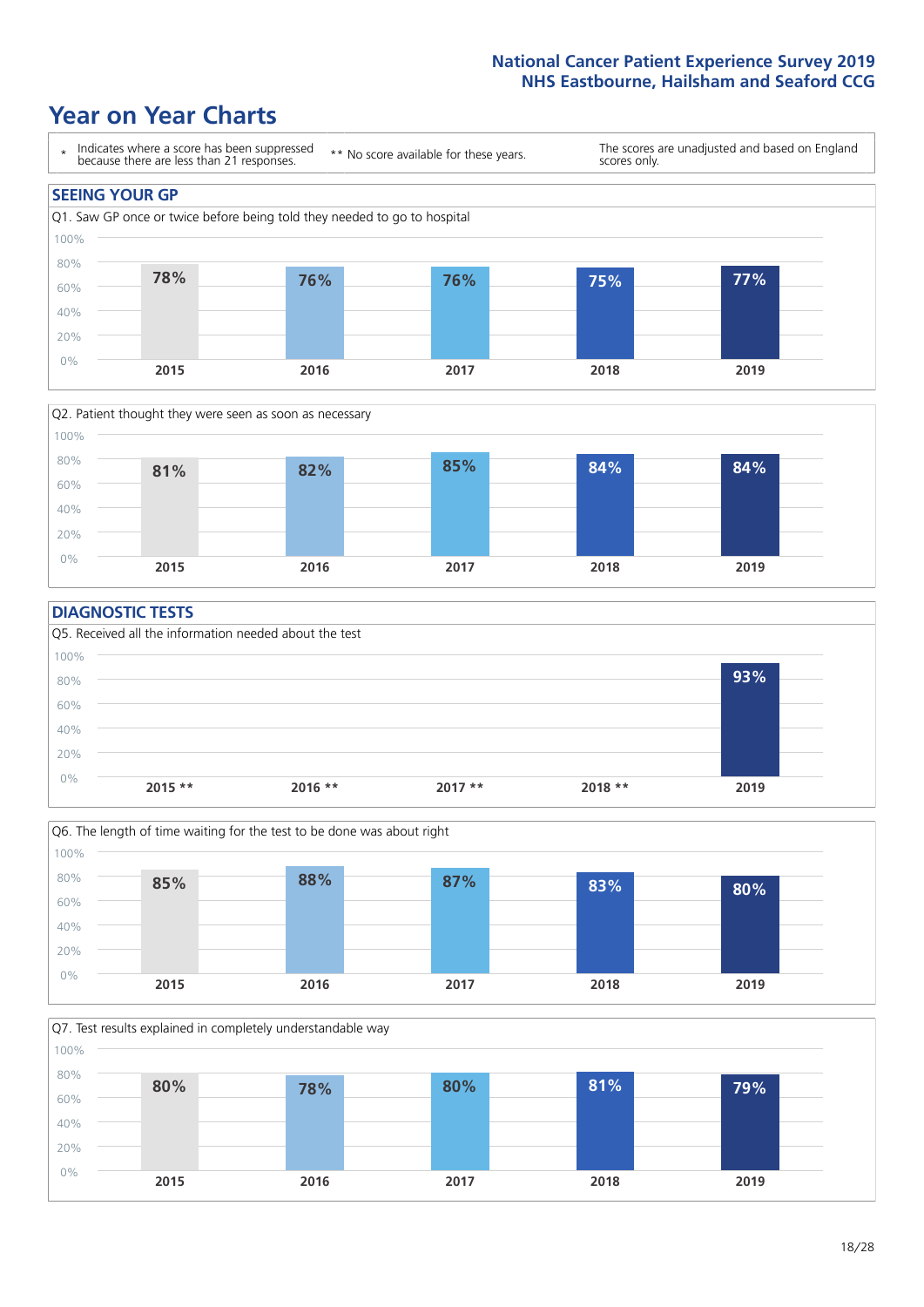### **Year on Year Charts**





### **DIAGNOSTIC TESTS**





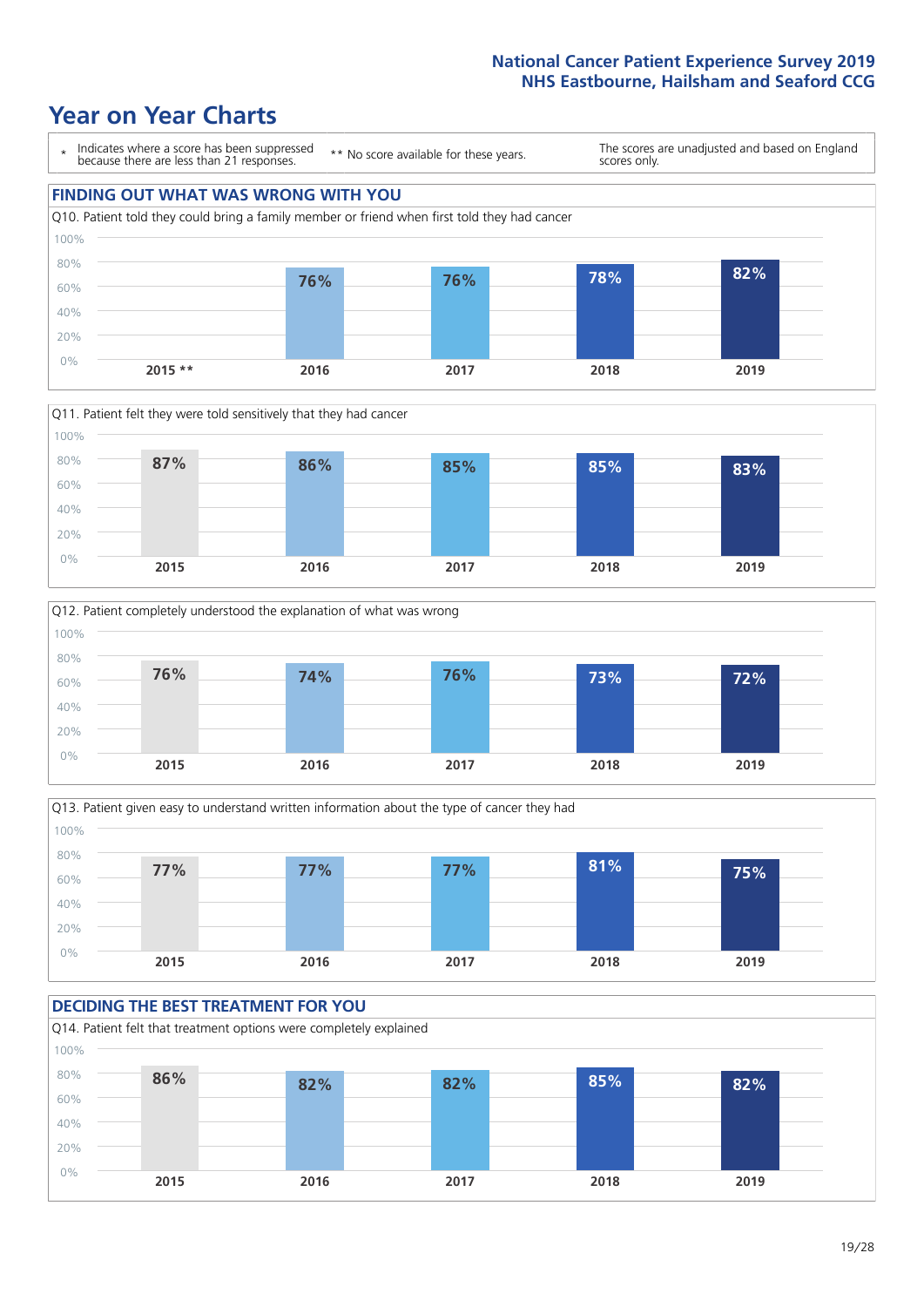### **Year on Year Charts**









### **DECIDING THE BEST TREATMENT FOR YOU** Q14. Patient felt that treatment options were completely explained 0% 20% 40% 60% 80% 100% **2015 2016 2017 2018 2019 86% 82% 82% 85% 82%**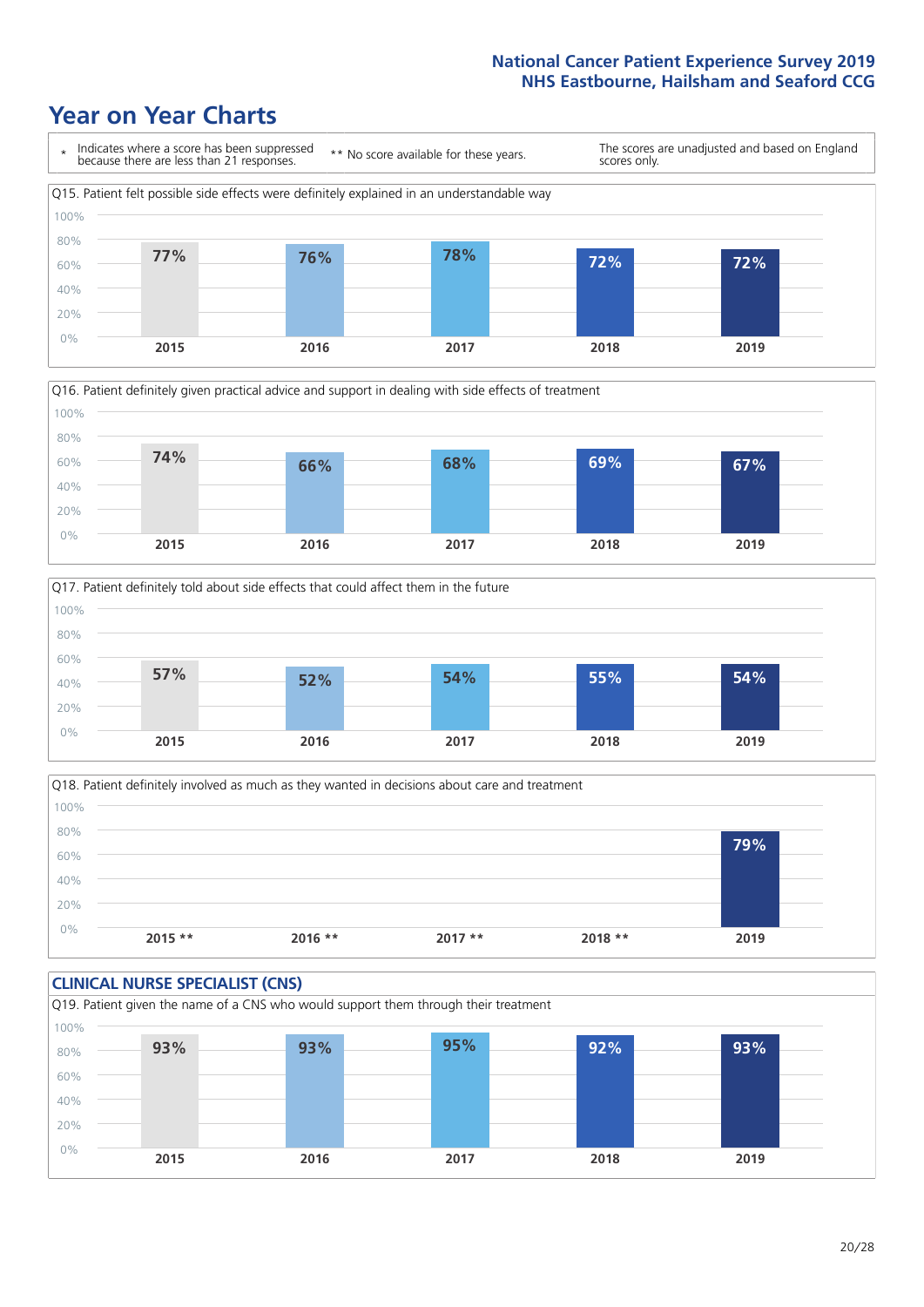





Q18. Patient definitely involved as much as they wanted in decisions about care and treatment  $0%$ 20% 40% 60% 80% 100% **2015 \*\* 2016 \*\* 2017 \*\* 2018 \*\* 2019 79%**

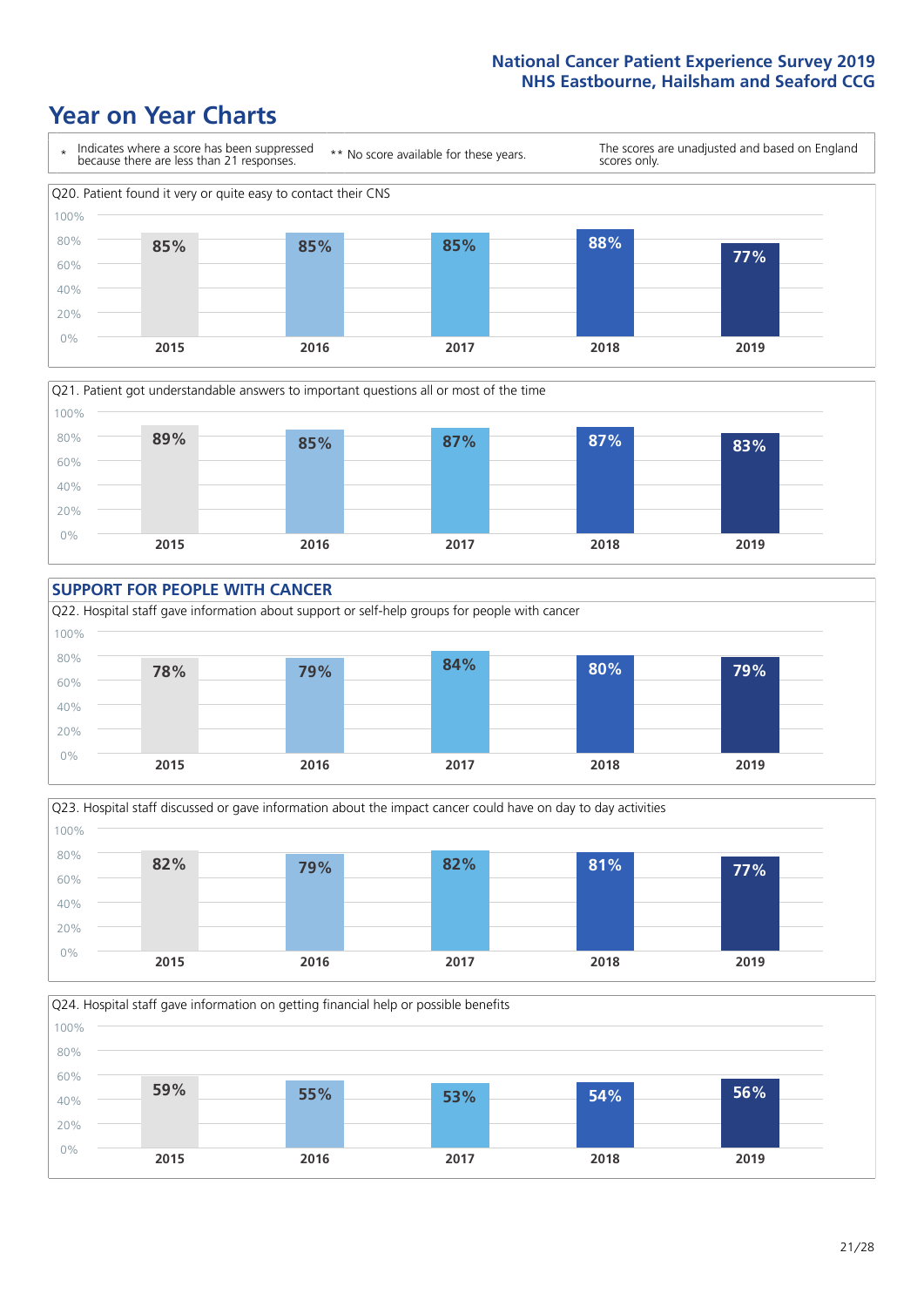









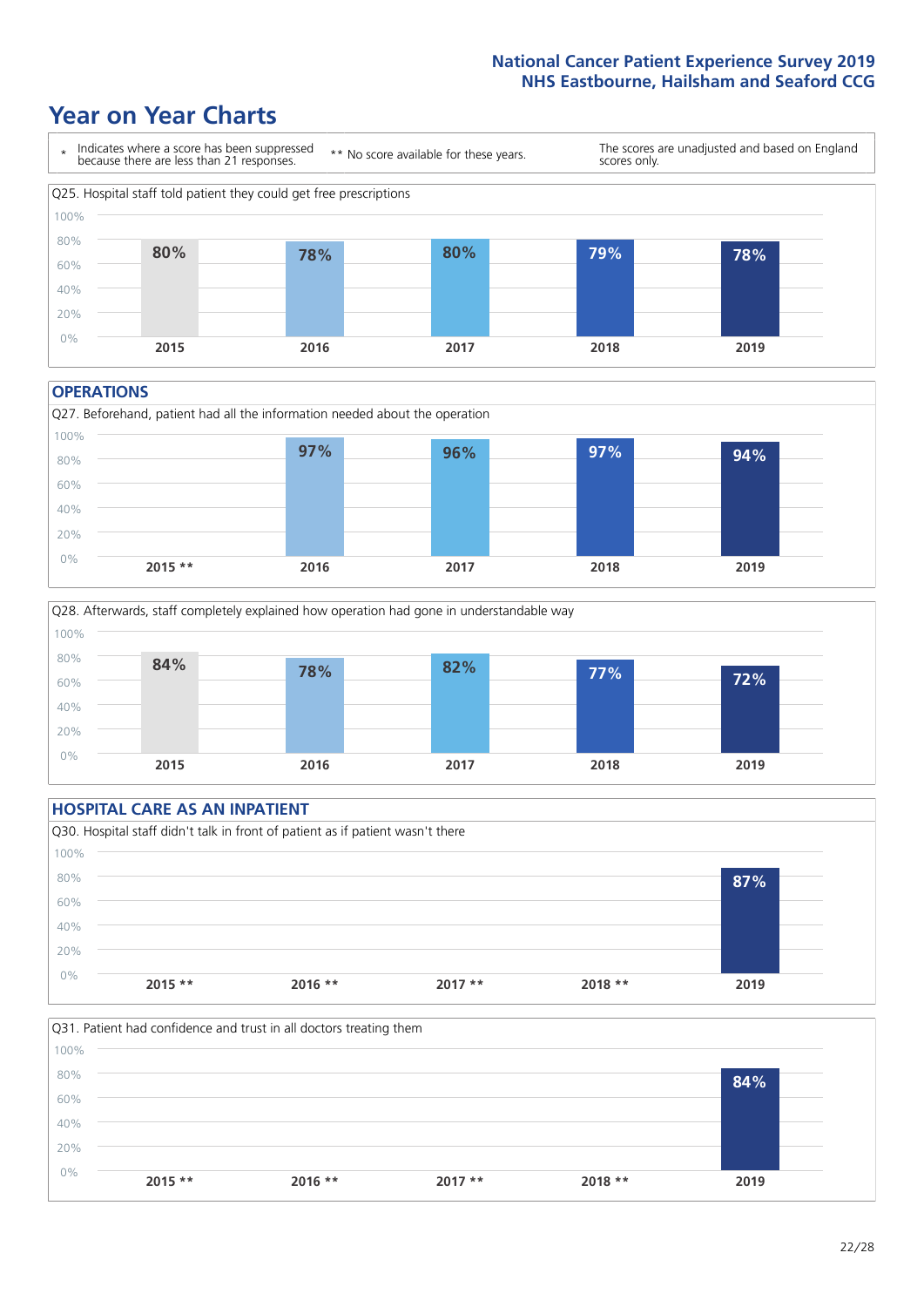### **Year on Year Charts**



#### **OPERATIONS**





### **HOSPITAL CARE AS AN INPATIENT** Q30. Hospital staff didn't talk in front of patient as if patient wasn't there 0% 20% 40% 60% 80% 100% **2015 \*\* 2016 \*\* 2017 \*\* 2018 \*\* 2019 87%**

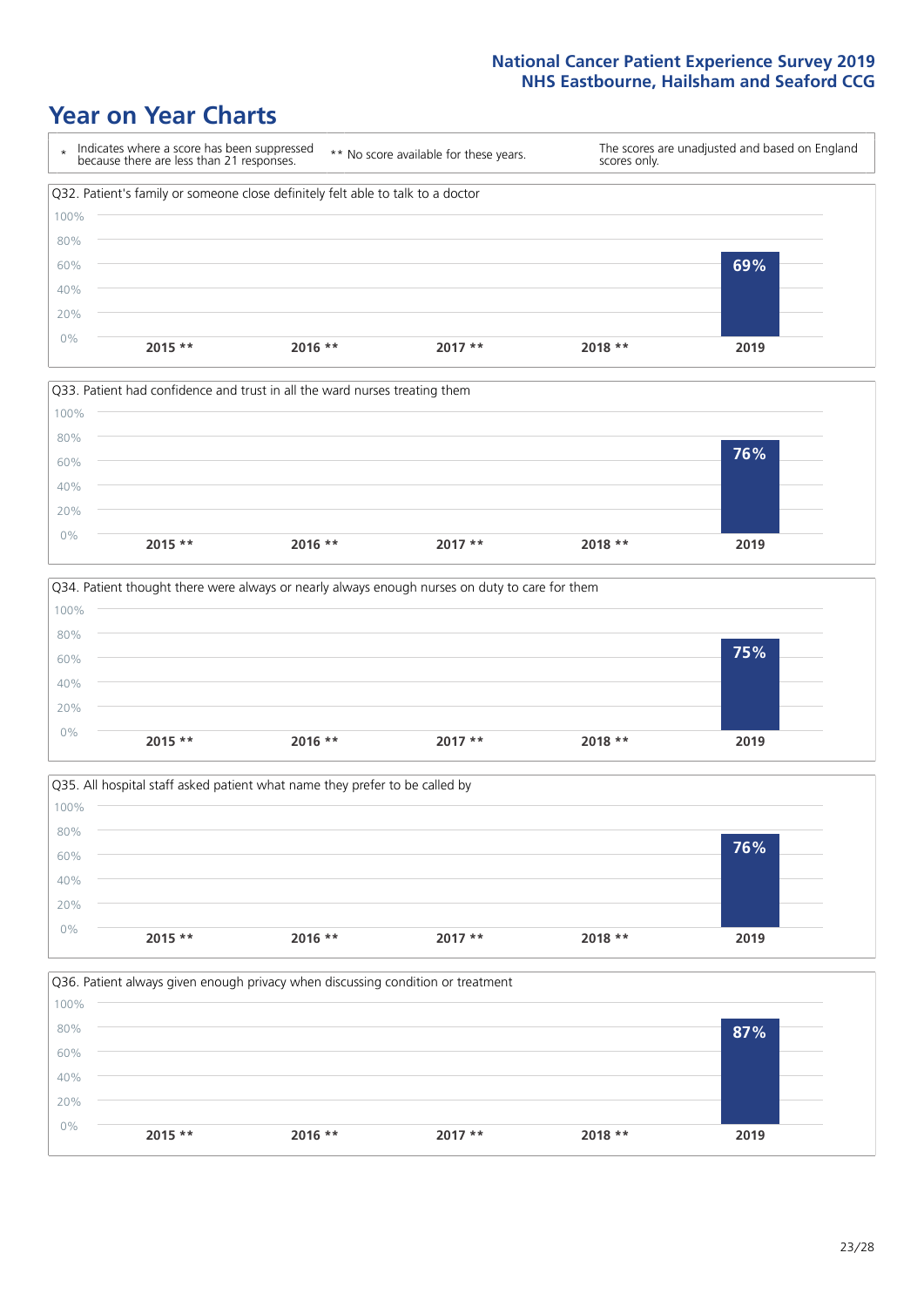







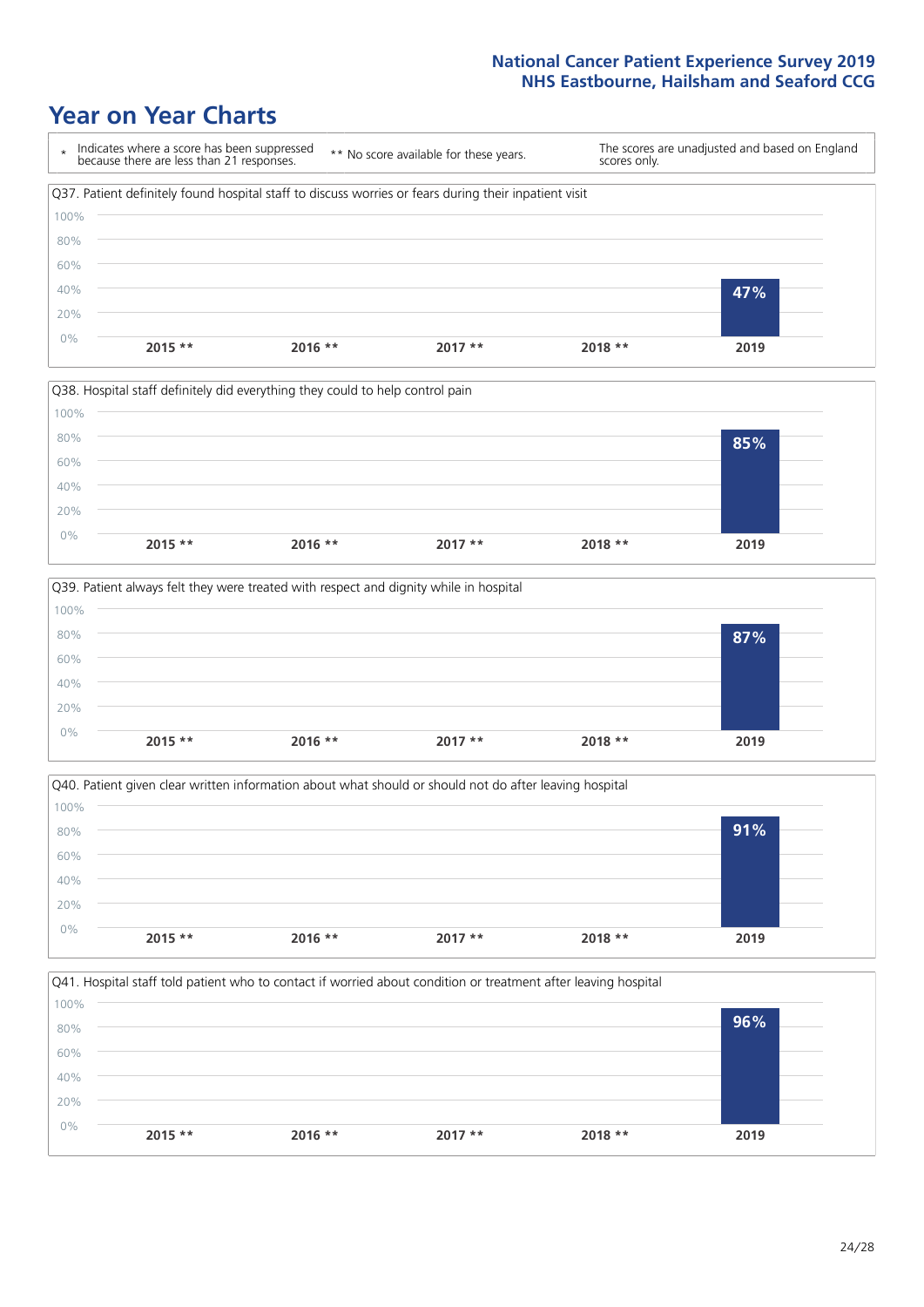







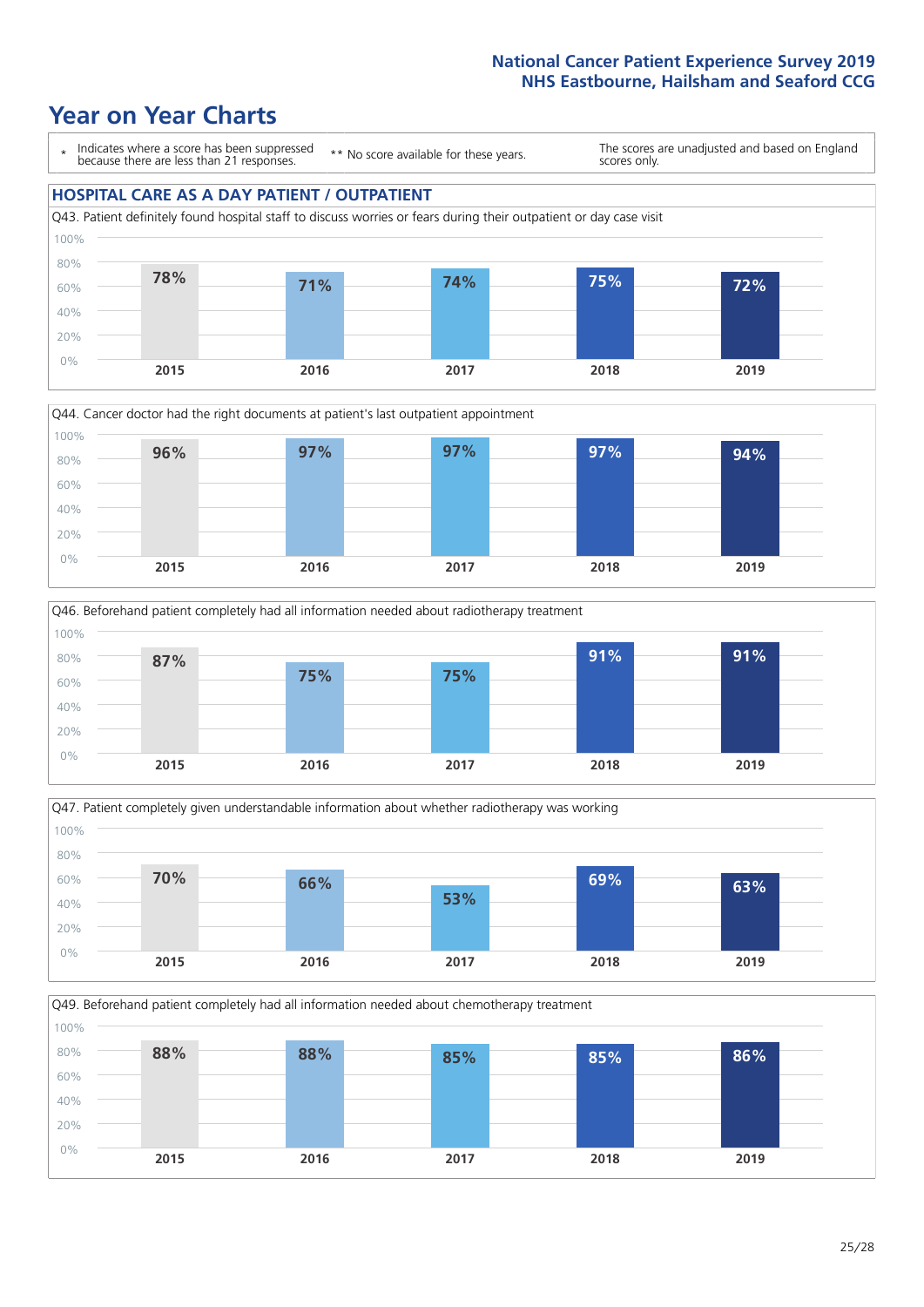







Q49. Beforehand patient completely had all information needed about chemotherapy treatment 100%

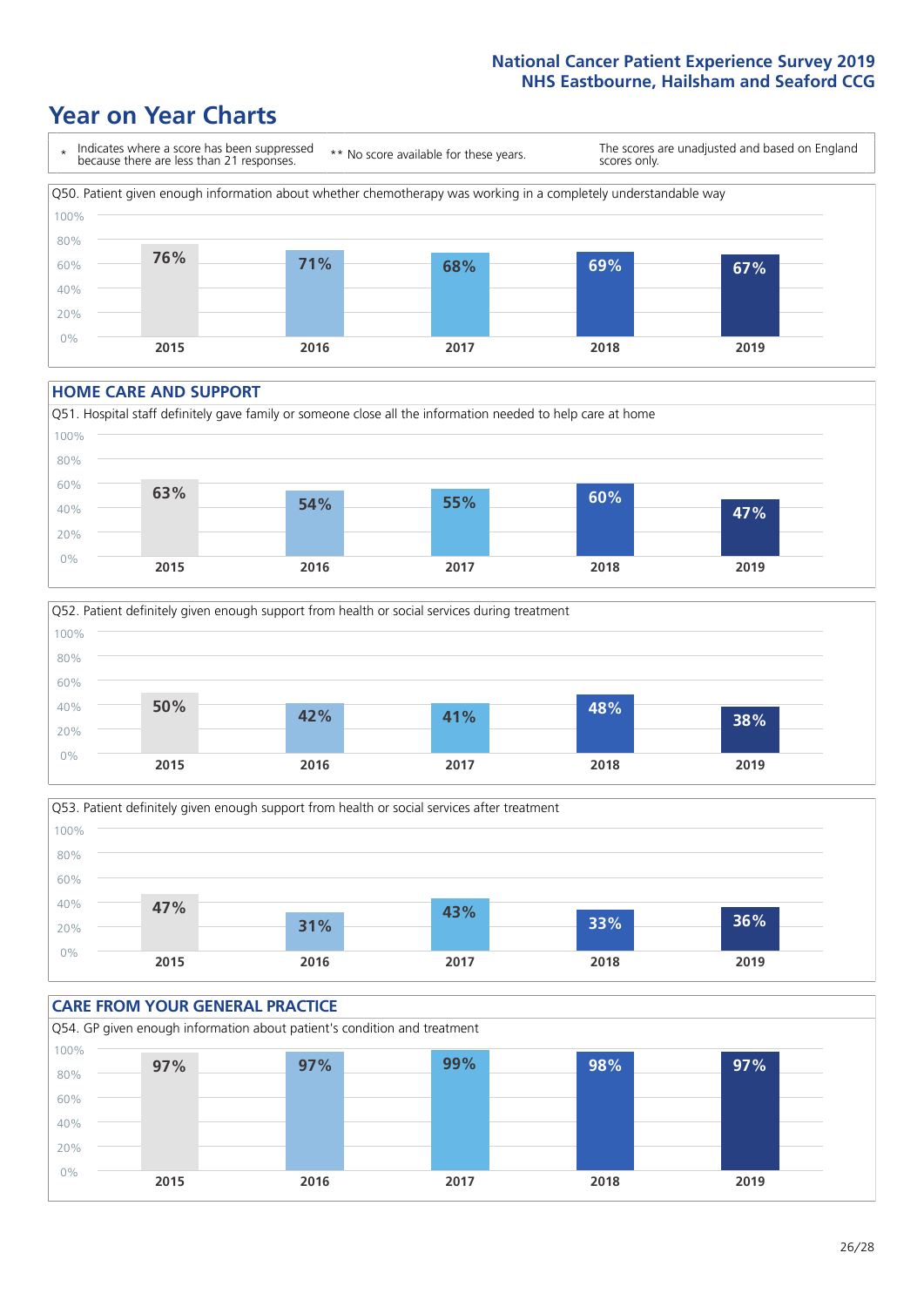### **Year on Year Charts**



#### **HOME CARE AND SUPPORT**







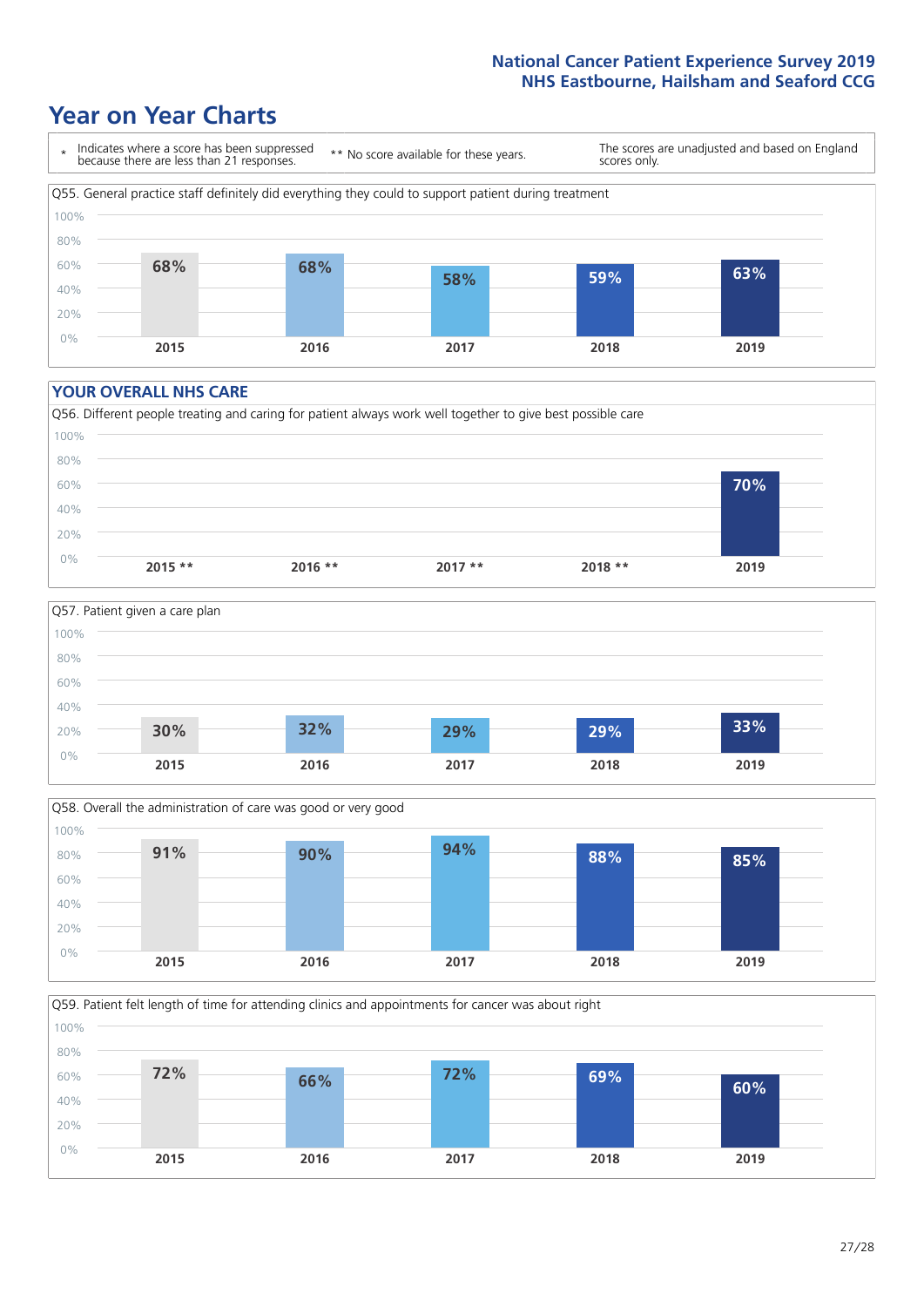### **Year on Year Charts**



#### **YOUR OVERALL NHS CARE**







Q59. Patient felt length of time for attending clinics and appointments for cancer was about right 0% 20% 40% 60% 80% 100% **2015 2016 2017 2018 2019 72% 66% 72% 69% 60%**